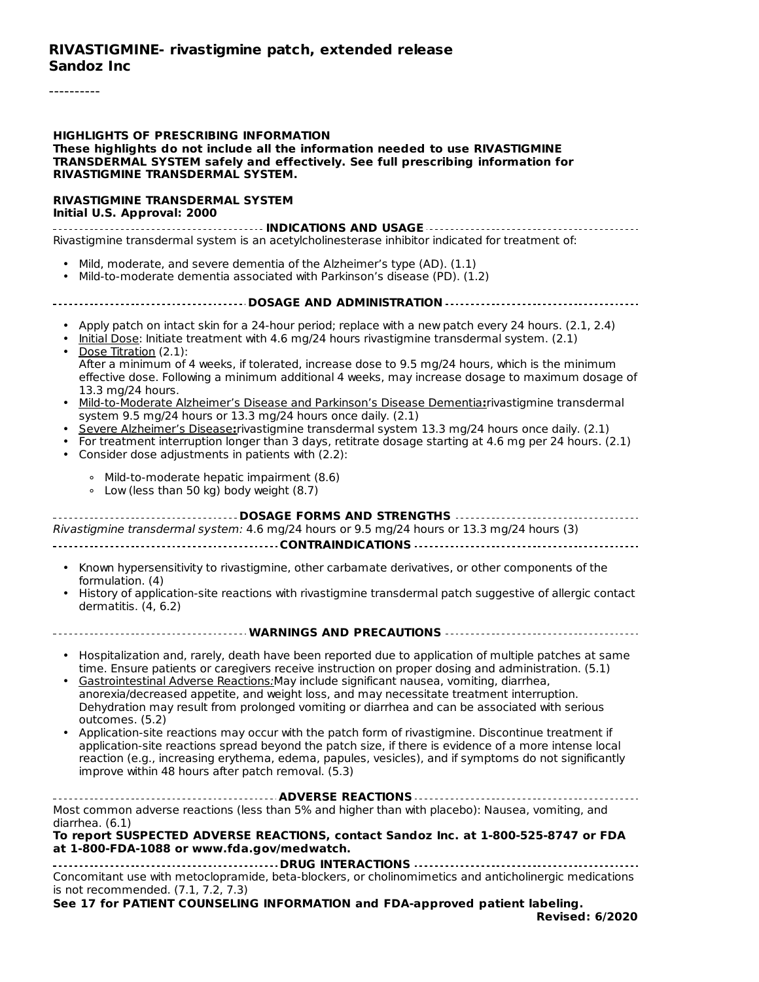#### **RIVASTIGMINE- rivastigmine patch, extended release Sandoz Inc**

----------

#### **HIGHLIGHTS OF PRESCRIBING INFORMATION These highlights do not include all the information needed to use RIVASTIGMINE TRANSDERMAL SYSTEM safely and effectively. See full prescribing information for RIVASTIGMINE TRANSDERMAL SYSTEM.**

#### **RIVASTIGMINE TRANSDERMAL SYSTEM Initial U.S. Approval: 2000**

**INDICATIONS AND USAGE** Rivastigmine transdermal system is an acetylcholinesterase inhibitor indicated for treatment of:

- Mild, moderate, and severe dementia of the Alzheimer's type (AD). (1.1)
- Mild-to-moderate dementia associated with Parkinson's disease (PD). (1.2)

#### **DOSAGE AND ADMINISTRATION**

- Apply patch on intact skin for a 24-hour period; replace with a new patch every 24 hours. (2.1, 2.4)
- Initial Dose: Initiate treatment with 4.6 mg/24 hours rivastigmine transdermal system. (2.1) • Dose Titration (2.1):
- After a minimum of 4 weeks, if tolerated, increase dose to 9.5 mg/24 hours, which is the minimum effective dose. Following a minimum additional 4 weeks, may increase dosage to maximum dosage of 13.3 mg/24 hours.
- Mild-to-Moderate Alzheimer's Disease and Parkinson's Disease Dementia**:**rivastigmine transdermal system 9.5 mg/24 hours or 13.3 mg/24 hours once daily. (2.1)
- Severe Alzheimer's Disease**:**rivastigmine transdermal system 13.3 mg/24 hours once daily. (2.1)
- For treatment interruption longer than 3 days, retitrate dosage starting at 4.6 mg per 24 hours. (2.1) • Consider dose adjustments in patients with (2.2):
	- ∘ Mild-to-moderate hepatic impairment (8.6)
	- ∘ Low (less than 50 kg) body weight (8.7)

| Rivastigmine transdermal system: 4.6 mg/24 hours or 9.5 mg/24 hours or 13.3 mg/24 hours (3)                                        |
|------------------------------------------------------------------------------------------------------------------------------------|
|                                                                                                                                    |
| • Known hypersensitivity to rivastigmine, other carbamate derivatives, or other components of the<br>formulation. (4)              |
| • History of application-site reactions with rivastigmine transdermal patch suggestive of allergic contact<br>dermatitis. (4, 6.2) |
|                                                                                                                                    |

- Hospitalization and, rarely, death have been reported due to application of multiple patches at same time. Ensure patients or caregivers receive instruction on proper dosing and administration. (5.1)
- Gastrointestinal Adverse Reactions:May include significant nausea, vomiting, diarrhea, anorexia/decreased appetite, and weight loss, and may necessitate treatment interruption. Dehydration may result from prolonged vomiting or diarrhea and can be associated with serious outcomes. (5.2)
- Application-site reactions may occur with the patch form of rivastigmine. Discontinue treatment if application-site reactions spread beyond the patch size, if there is evidence of a more intense local reaction (e.g., increasing erythema, edema, papules, vesicles), and if symptoms do not significantly improve within 48 hours after patch removal. (5.3)

| Most common adverse reactions (less than 5% and higher than with placebo): Nausea, vomiting, and |  |  |  |
|--------------------------------------------------------------------------------------------------|--|--|--|
| diarrhea. (6.1)                                                                                  |  |  |  |
|                                                                                                  |  |  |  |

#### **To report SUSPECTED ADVERSE REACTIONS, contact Sandoz Inc. at 1-800-525-8747 or FDA at 1-800-FDA-1088 or www.fda.gov/medwatch.**

**DRUG INTERACTIONS** Concomitant use with metoclopramide, beta-blockers, or cholinomimetics and anticholinergic medications is not recommended. (7.1, 7.2, 7.3)

**See 17 for PATIENT COUNSELING INFORMATION and FDA-approved patient labeling.**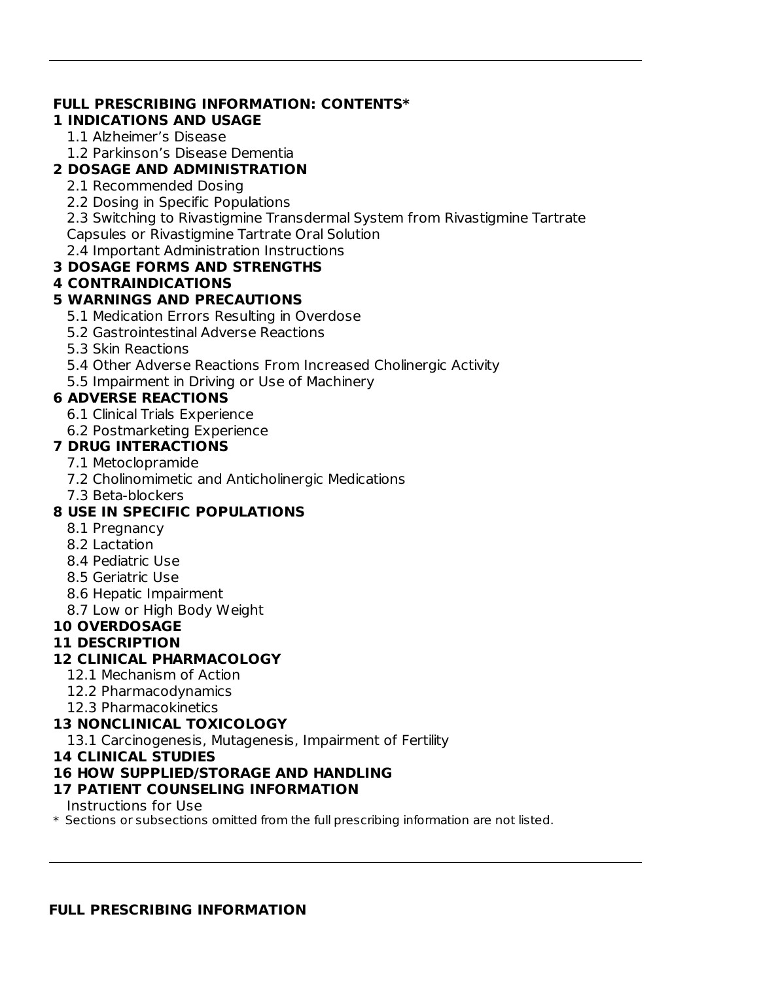## **FULL PRESCRIBING INFORMATION: CONTENTS\***

**1 INDICATIONS AND USAGE**

1.1 Alzheimer's Disease

1.2 Parkinson's Disease Dementia

## **2 DOSAGE AND ADMINISTRATION**

- 2.1 Recommended Dosing
- 2.2 Dosing in Specific Populations

2.3 Switching to Rivastigmine Transdermal System from Rivastigmine Tartrate Capsules or Rivastigmine Tartrate Oral Solution

2.4 Important Administration Instructions

## **3 DOSAGE FORMS AND STRENGTHS**

## **4 CONTRAINDICATIONS**

## **5 WARNINGS AND PRECAUTIONS**

5.1 Medication Errors Resulting in Overdose

- 5.2 Gastrointestinal Adverse Reactions
- 5.3 Skin Reactions
- 5.4 Other Adverse Reactions From Increased Cholinergic Activity
- 5.5 Impairment in Driving or Use of Machinery

## **6 ADVERSE REACTIONS**

- 6.1 Clinical Trials Experience
- 6.2 Postmarketing Experience

## **7 DRUG INTERACTIONS**

- 7.1 Metoclopramide
- 7.2 Cholinomimetic and Anticholinergic Medications
- 7.3 Beta-blockers

## **8 USE IN SPECIFIC POPULATIONS**

- 8.1 Pregnancy
- 8.2 Lactation
- 8.4 Pediatric Use
- 8.5 Geriatric Use
- 8.6 Hepatic Impairment
- 8.7 Low or High Body Weight

## **10 OVERDOSAGE**

## **11 DESCRIPTION**

## **12 CLINICAL PHARMACOLOGY**

- 12.1 Mechanism of Action
- 12.2 Pharmacodynamics
- 12.3 Pharmacokinetics

## **13 NONCLINICAL TOXICOLOGY**

13.1 Carcinogenesis, Mutagenesis, Impairment of Fertility

**14 CLINICAL STUDIES**

## **16 HOW SUPPLIED/STORAGE AND HANDLING**

## **17 PATIENT COUNSELING INFORMATION**

Instructions for Use

\* Sections or subsections omitted from the full prescribing information are not listed.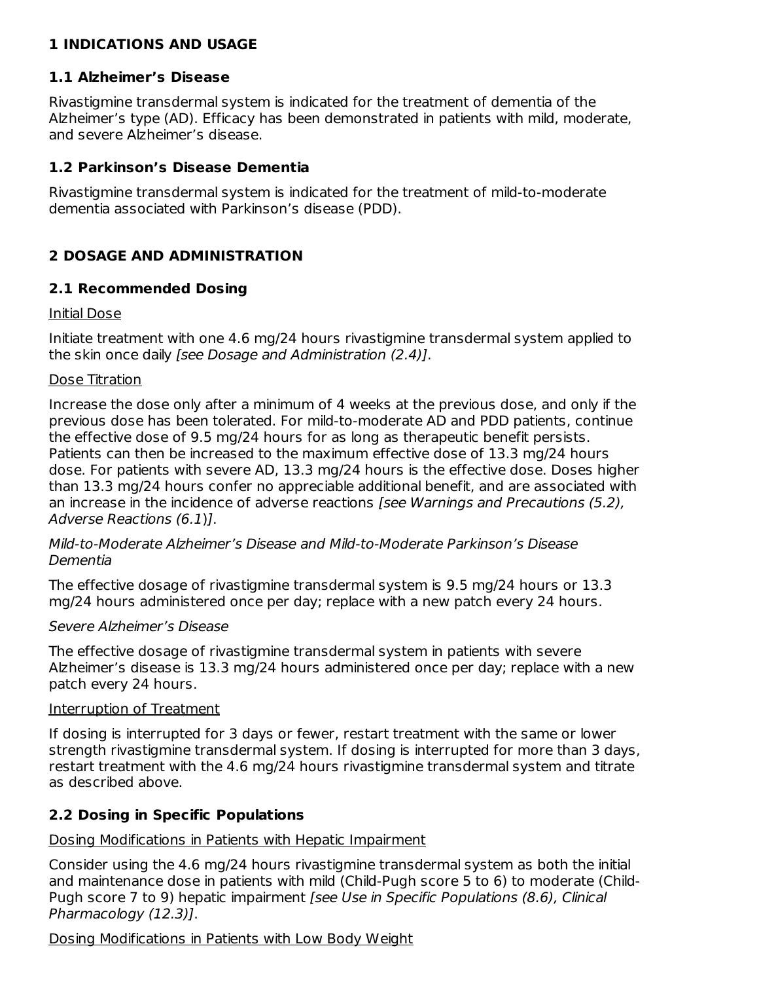## **1 INDICATIONS AND USAGE**

### **1.1 Alzheimer's Disease**

Rivastigmine transdermal system is indicated for the treatment of dementia of the Alzheimer's type (AD). Efficacy has been demonstrated in patients with mild, moderate, and severe Alzheimer's disease.

### **1.2 Parkinson's Disease Dementia**

Rivastigmine transdermal system is indicated for the treatment of mild-to-moderate dementia associated with Parkinson's disease (PDD).

## **2 DOSAGE AND ADMINISTRATION**

### **2.1 Recommended Dosing**

### Initial Dose

Initiate treatment with one 4.6 mg/24 hours rivastigmine transdermal system applied to the skin once daily [see Dosage and Administration (2.4)].

#### Dose Titration

Increase the dose only after a minimum of 4 weeks at the previous dose, and only if the previous dose has been tolerated. For mild-to-moderate AD and PDD patients, continue the effective dose of 9.5 mg/24 hours for as long as therapeutic benefit persists. Patients can then be increased to the maximum effective dose of 13.3 mg/24 hours dose. For patients with severe AD, 13.3 mg/24 hours is the effective dose. Doses higher than 13.3 mg/24 hours confer no appreciable additional benefit, and are associated with an increase in the incidence of adverse reactions [see Warnings and Precautions (5.2), Adverse Reactions (6.1)].

Mild-to-Moderate Alzheimer's Disease and Mild-to-Moderate Parkinson's Disease Dementia

The effective dosage of rivastigmine transdermal system is 9.5 mg/24 hours or 13.3 mg/24 hours administered once per day; replace with a new patch every 24 hours.

### Severe Alzheimer's Disease

The effective dosage of rivastigmine transdermal system in patients with severe Alzheimer's disease is 13.3 mg/24 hours administered once per day; replace with a new patch every 24 hours.

### Interruption of Treatment

If dosing is interrupted for 3 days or fewer, restart treatment with the same or lower strength rivastigmine transdermal system. If dosing is interrupted for more than 3 days, restart treatment with the 4.6 mg/24 hours rivastigmine transdermal system and titrate as described above.

### **2.2 Dosing in Specific Populations**

### Dosing Modifications in Patients with Hepatic Impairment

Consider using the 4.6 mg/24 hours rivastigmine transdermal system as both the initial and maintenance dose in patients with mild (Child-Pugh score 5 to 6) to moderate (Child-Pugh score 7 to 9) hepatic impairment [see Use in Specific Populations (8.6), Clinical Pharmacology (12.3)].

### Dosing Modifications in Patients with Low Body Weight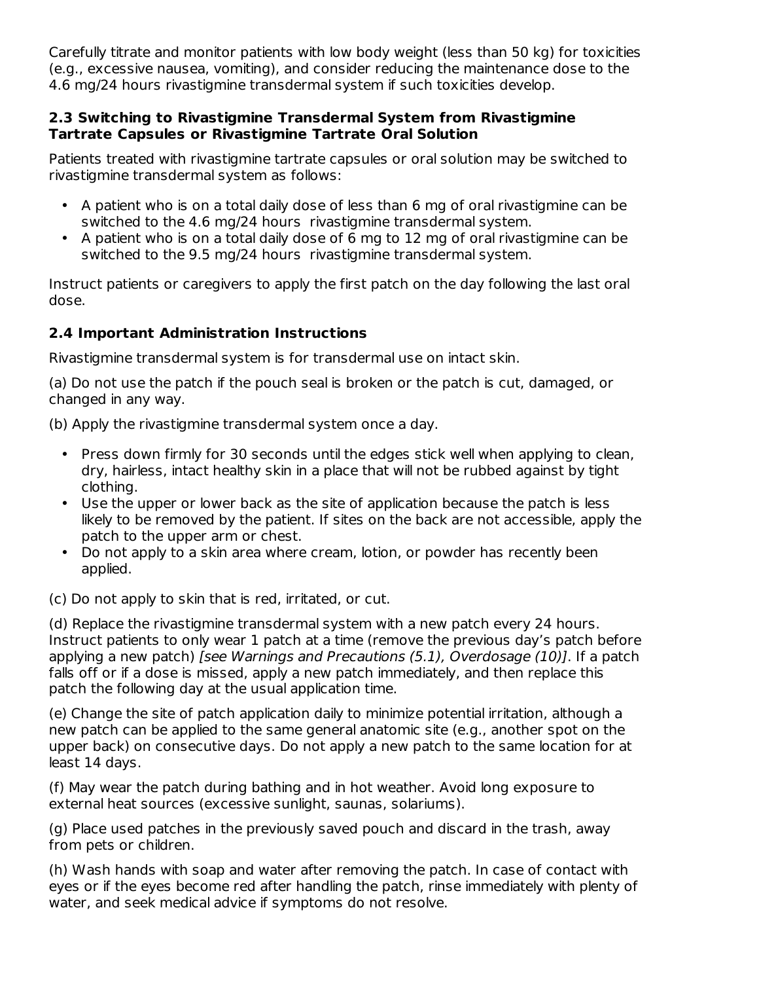Carefully titrate and monitor patients with low body weight (less than 50 kg) for toxicities (e.g., excessive nausea, vomiting), and consider reducing the maintenance dose to the 4.6 mg/24 hours rivastigmine transdermal system if such toxicities develop.

### **2.3 Switching to Rivastigmine Transdermal System from Rivastigmine Tartrate Capsules or Rivastigmine Tartrate Oral Solution**

Patients treated with rivastigmine tartrate capsules or oral solution may be switched to rivastigmine transdermal system as follows:

- A patient who is on a total daily dose of less than 6 mg of oral rivastigmine can be switched to the 4.6 mg/24 hours rivastigmine transdermal system.
- A patient who is on a total daily dose of 6 mg to 12 mg of oral rivastigmine can be switched to the 9.5 mg/24 hours rivastigmine transdermal system.

Instruct patients or caregivers to apply the first patch on the day following the last oral dose.

## **2.4 Important Administration Instructions**

Rivastigmine transdermal system is for transdermal use on intact skin.

(a) Do not use the patch if the pouch seal is broken or the patch is cut, damaged, or changed in any way.

(b) Apply the rivastigmine transdermal system once a day.

- Press down firmly for 30 seconds until the edges stick well when applying to clean, dry, hairless, intact healthy skin in a place that will not be rubbed against by tight clothing.
- Use the upper or lower back as the site of application because the patch is less likely to be removed by the patient. If sites on the back are not accessible, apply the patch to the upper arm or chest.
- Do not apply to a skin area where cream, lotion, or powder has recently been applied.

(c) Do not apply to skin that is red, irritated, or cut.

(d) Replace the rivastigmine transdermal system with a new patch every 24 hours. Instruct patients to only wear 1 patch at a time (remove the previous day's patch before applying a new patch) [see Warnings and Precautions (5.1), Overdosage (10)]. If a patch falls off or if a dose is missed, apply a new patch immediately, and then replace this patch the following day at the usual application time.

(e) Change the site of patch application daily to minimize potential irritation, although a new patch can be applied to the same general anatomic site (e.g., another spot on the upper back) on consecutive days. Do not apply a new patch to the same location for at least 14 days.

(f) May wear the patch during bathing and in hot weather. Avoid long exposure to external heat sources (excessive sunlight, saunas, solariums).

(g) Place used patches in the previously saved pouch and discard in the trash, away from pets or children.

(h) Wash hands with soap and water after removing the patch. In case of contact with eyes or if the eyes become red after handling the patch, rinse immediately with plenty of water, and seek medical advice if symptoms do not resolve.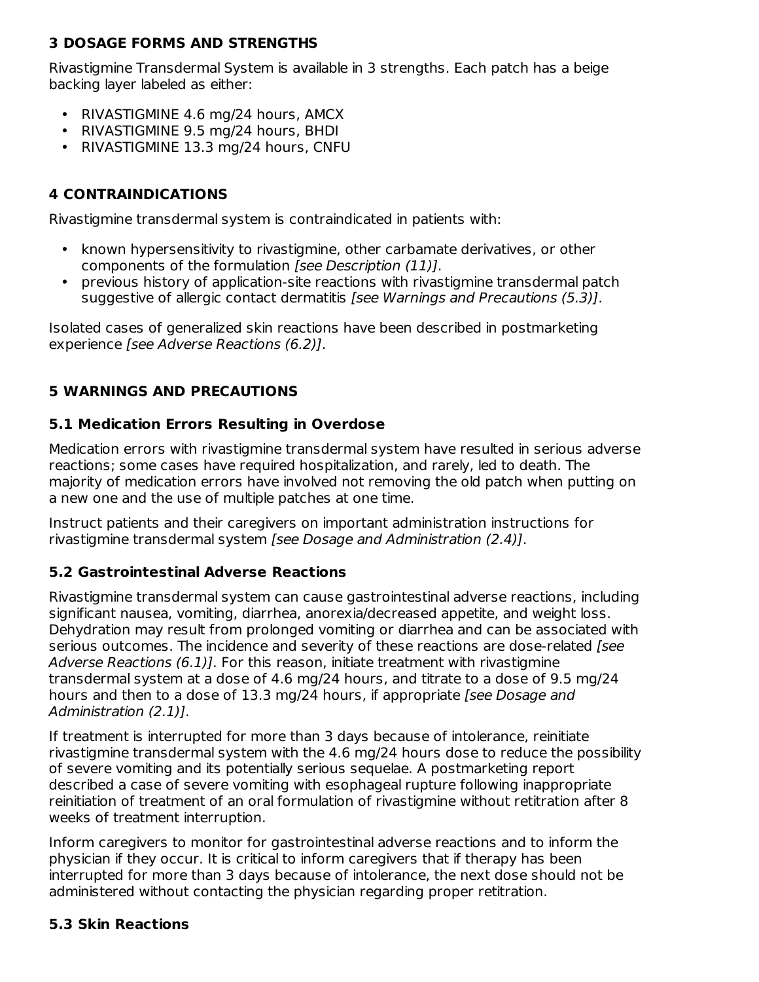## **3 DOSAGE FORMS AND STRENGTHS**

Rivastigmine Transdermal System is available in 3 strengths. Each patch has a beige backing layer labeled as either:

- RIVASTIGMINE 4.6 mg/24 hours, AMCX
- RIVASTIGMINE 9.5 mg/24 hours, BHDI
- RIVASTIGMINE 13.3 mg/24 hours, CNFU

## **4 CONTRAINDICATIONS**

Rivastigmine transdermal system is contraindicated in patients with:

- known hypersensitivity to rivastigmine, other carbamate derivatives, or other components of the formulation [see Description (11)].
- previous history of application-site reactions with rivastigmine transdermal patch suggestive of allergic contact dermatitis [see Warnings and Precautions (5.3)].

Isolated cases of generalized skin reactions have been described in postmarketing experience [see Adverse Reactions (6.2)].

## **5 WARNINGS AND PRECAUTIONS**

### **5.1 Medication Errors Resulting in Overdose**

Medication errors with rivastigmine transdermal system have resulted in serious adverse reactions; some cases have required hospitalization, and rarely, led to death. The majority of medication errors have involved not removing the old patch when putting on a new one and the use of multiple patches at one time.

Instruct patients and their caregivers on important administration instructions for rivastigmine transdermal system [see Dosage and Administration (2.4)].

## **5.2 Gastrointestinal Adverse Reactions**

Rivastigmine transdermal system can cause gastrointestinal adverse reactions, including significant nausea, vomiting, diarrhea, anorexia/decreased appetite, and weight loss. Dehydration may result from prolonged vomiting or diarrhea and can be associated with serious outcomes. The incidence and severity of these reactions are dose-related [see Adverse Reactions (6.1). For this reason, initiate treatment with rivastigmine transdermal system at a dose of 4.6 mg/24 hours, and titrate to a dose of 9.5 mg/24 hours and then to a dose of 13.3 mg/24 hours, if appropriate [see Dosage and Administration (2.1)].

If treatment is interrupted for more than 3 days because of intolerance, reinitiate rivastigmine transdermal system with the 4.6 mg/24 hours dose to reduce the possibility of severe vomiting and its potentially serious sequelae. A postmarketing report described a case of severe vomiting with esophageal rupture following inappropriate reinitiation of treatment of an oral formulation of rivastigmine without retitration after 8 weeks of treatment interruption.

Inform caregivers to monitor for gastrointestinal adverse reactions and to inform the physician if they occur. It is critical to inform caregivers that if therapy has been interrupted for more than 3 days because of intolerance, the next dose should not be administered without contacting the physician regarding proper retitration.

## **5.3 Skin Reactions**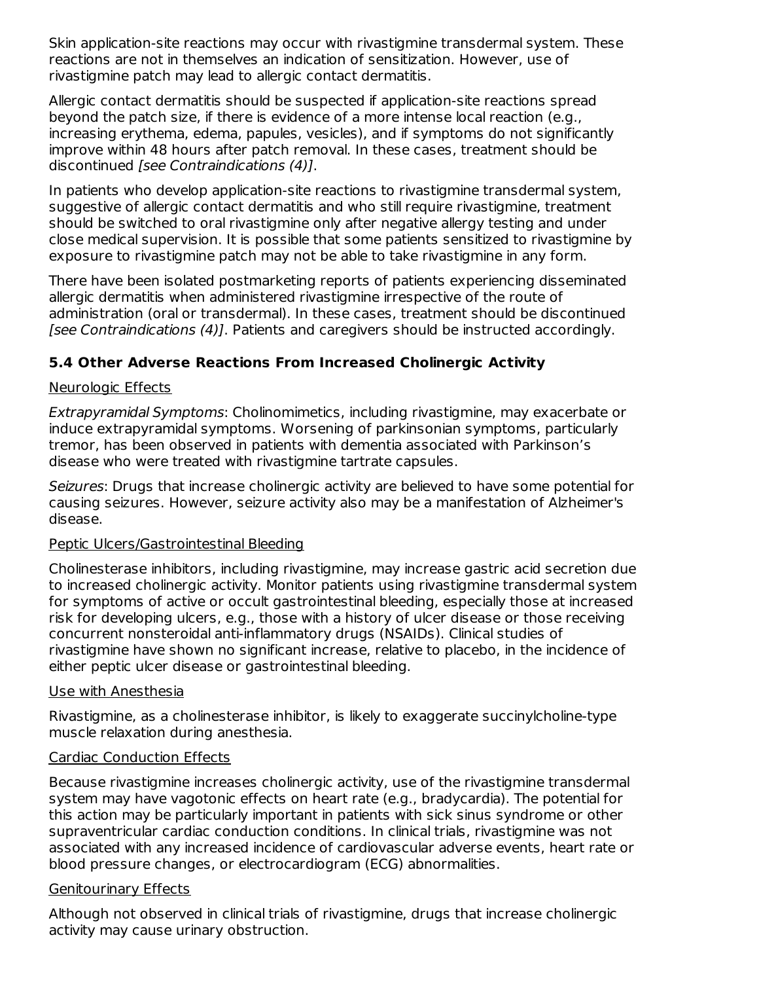Skin application-site reactions may occur with rivastigmine transdermal system. These reactions are not in themselves an indication of sensitization. However, use of rivastigmine patch may lead to allergic contact dermatitis.

Allergic contact dermatitis should be suspected if application-site reactions spread beyond the patch size, if there is evidence of a more intense local reaction (e.g., increasing erythema, edema, papules, vesicles), and if symptoms do not significantly improve within 48 hours after patch removal. In these cases, treatment should be discontinued [see Contraindications (4)].

In patients who develop application-site reactions to rivastigmine transdermal system, suggestive of allergic contact dermatitis and who still require rivastigmine, treatment should be switched to oral rivastigmine only after negative allergy testing and under close medical supervision. It is possible that some patients sensitized to rivastigmine by exposure to rivastigmine patch may not be able to take rivastigmine in any form.

There have been isolated postmarketing reports of patients experiencing disseminated allergic dermatitis when administered rivastigmine irrespective of the route of administration (oral or transdermal). In these cases, treatment should be discontinued [see Contraindications (4)]. Patients and caregivers should be instructed accordingly.

### **5.4 Other Adverse Reactions From Increased Cholinergic Activity**

#### Neurologic Effects

Extrapyramidal Symptoms: Cholinomimetics, including rivastigmine, may exacerbate or induce extrapyramidal symptoms. Worsening of parkinsonian symptoms, particularly tremor, has been observed in patients with dementia associated with Parkinson's disease who were treated with rivastigmine tartrate capsules.

Seizures: Drugs that increase cholinergic activity are believed to have some potential for causing seizures. However, seizure activity also may be a manifestation of Alzheimer's disease.

#### Peptic Ulcers/Gastrointestinal Bleeding

Cholinesterase inhibitors, including rivastigmine, may increase gastric acid secretion due to increased cholinergic activity. Monitor patients using rivastigmine transdermal system for symptoms of active or occult gastrointestinal bleeding, especially those at increased risk for developing ulcers, e.g., those with a history of ulcer disease or those receiving concurrent nonsteroidal anti-inflammatory drugs (NSAIDs). Clinical studies of rivastigmine have shown no significant increase, relative to placebo, in the incidence of either peptic ulcer disease or gastrointestinal bleeding.

#### Use with Anesthesia

Rivastigmine, as a cholinesterase inhibitor, is likely to exaggerate succinylcholine-type muscle relaxation during anesthesia.

#### Cardiac Conduction Effects

Because rivastigmine increases cholinergic activity, use of the rivastigmine transdermal system may have vagotonic effects on heart rate (e.g., bradycardia). The potential for this action may be particularly important in patients with sick sinus syndrome or other supraventricular cardiac conduction conditions. In clinical trials, rivastigmine was not associated with any increased incidence of cardiovascular adverse events, heart rate or blood pressure changes, or electrocardiogram (ECG) abnormalities.

#### Genitourinary Effects

Although not observed in clinical trials of rivastigmine, drugs that increase cholinergic activity may cause urinary obstruction.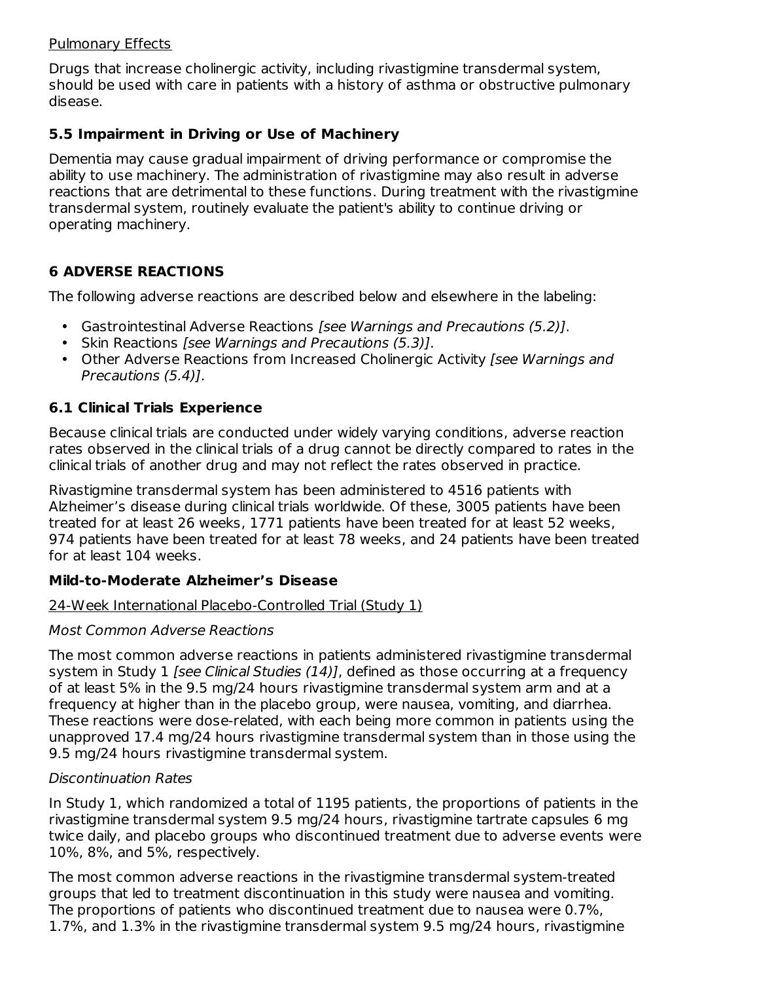### Pulmonary Effects

Drugs that increase cholinergic activity, including rivastigmine transdermal system, should be used with care in patients with a history of asthma or obstructive pulmonary disease.

### **5.5 Impairment in Driving or Use of Machinery**

Dementia may cause gradual impairment of driving performance or compromise the ability to use machinery. The administration of rivastigmine may also result in adverse reactions that are detrimental to these functions. During treatment with the rivastigmine transdermal system, routinely evaluate the patient's ability to continue driving or operating machinery.

## **6 ADVERSE REACTIONS**

The following adverse reactions are described below and elsewhere in the labeling:

- Gastrointestinal Adverse Reactions [see Warnings and Precautions (5.2)].
- Skin Reactions [see Warnings and Precautions (5.3)].
- Other Adverse Reactions from Increased Cholinergic Activity [see Warnings and Precautions (5.4)].

## **6.1 Clinical Trials Experience**

Because clinical trials are conducted under widely varying conditions, adverse reaction rates observed in the clinical trials of a drug cannot be directly compared to rates in the clinical trials of another drug and may not reflect the rates observed in practice.

Rivastigmine transdermal system has been administered to 4516 patients with Alzheimer's disease during clinical trials worldwide. Of these, 3005 patients have been treated for at least 26 weeks, 1771 patients have been treated for at least 52 weeks, 974 patients have been treated for at least 78 weeks, and 24 patients have been treated for at least 104 weeks.

## **Mild-to-Moderate Alzheimer's Disease**

### 24-Week International Placebo-Controlled Trial (Study 1)

### Most Common Adverse Reactions

The most common adverse reactions in patients administered rivastigmine transdermal system in Study 1 [see Clinical Studies  $(14)$ ], defined as those occurring at a frequency of at least 5% in the 9.5 mg/24 hours rivastigmine transdermal system arm and at a frequency at higher than in the placebo group, were nausea, vomiting, and diarrhea. These reactions were dose-related, with each being more common in patients using the unapproved 17.4 mg/24 hours rivastigmine transdermal system than in those using the 9.5 mg/24 hours rivastigmine transdermal system.

### Discontinuation Rates

In Study 1, which randomized a total of 1195 patients, the proportions of patients in the rivastigmine transdermal system 9.5 mg/24 hours, rivastigmine tartrate capsules 6 mg twice daily, and placebo groups who discontinued treatment due to adverse events were 10%, 8%, and 5%, respectively.

The most common adverse reactions in the rivastigmine transdermal system-treated groups that led to treatment discontinuation in this study were nausea and vomiting. The proportions of patients who discontinued treatment due to nausea were 0.7%, 1.7%, and 1.3% in the rivastigmine transdermal system 9.5 mg/24 hours, rivastigmine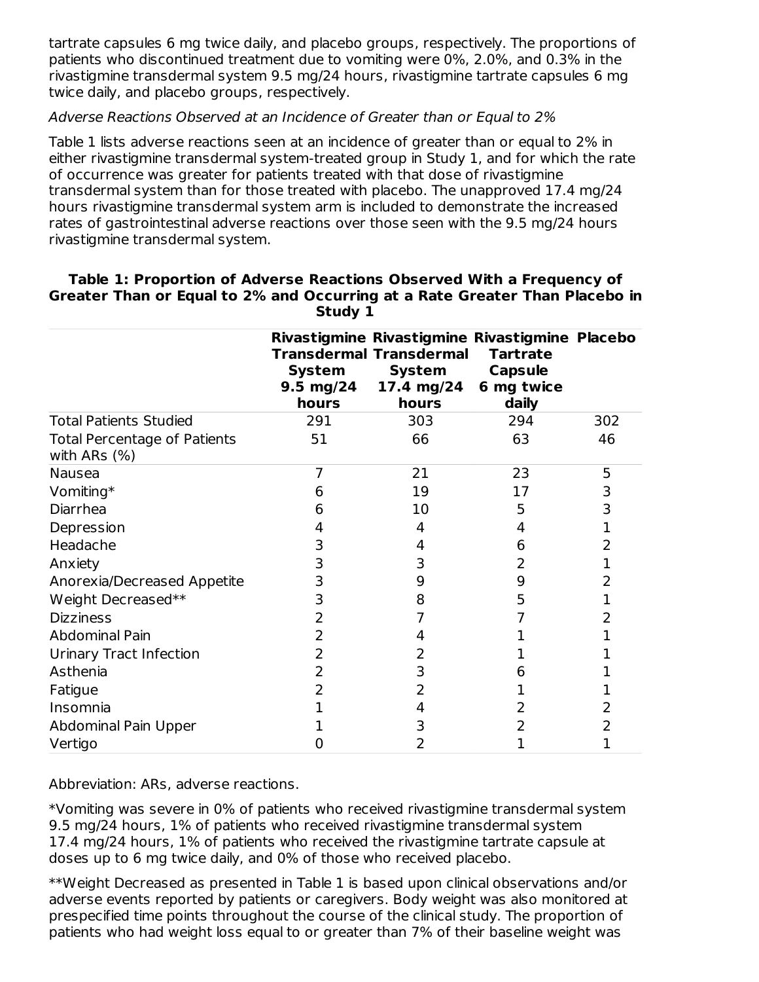tartrate capsules 6 mg twice daily, and placebo groups, respectively. The proportions of patients who discontinued treatment due to vomiting were 0%, 2.0%, and 0.3% in the rivastigmine transdermal system 9.5 mg/24 hours, rivastigmine tartrate capsules 6 mg twice daily, and placebo groups, respectively.

#### Adverse Reactions Observed at an Incidence of Greater than or Equal to 2%

Table 1 lists adverse reactions seen at an incidence of greater than or equal to 2% in either rivastigmine transdermal system-treated group in Study 1, and for which the rate of occurrence was greater for patients treated with that dose of rivastigmine transdermal system than for those treated with placebo. The unapproved 17.4 mg/24 hours rivastigmine transdermal system arm is included to demonstrate the increased rates of gastrointestinal adverse reactions over those seen with the 9.5 mg/24 hours rivastigmine transdermal system.

|                                                     | <b>System</b><br>9.5 mg/24<br>hours | <b>Transdermal Transdermal</b><br><b>System</b><br>17.4 mg/24<br>hours | Rivastigmine Rivastigmine Rivastigmine Placebo<br><b>Tartrate</b><br><b>Capsule</b><br>6 mg twice<br>daily |     |
|-----------------------------------------------------|-------------------------------------|------------------------------------------------------------------------|------------------------------------------------------------------------------------------------------------|-----|
| <b>Total Patients Studied</b>                       | 291                                 | 303                                                                    | 294                                                                                                        | 302 |
| <b>Total Percentage of Patients</b><br>with ARs (%) | 51                                  | 66                                                                     | 63                                                                                                         | 46  |
| Nausea                                              | 7                                   | 21                                                                     | 23                                                                                                         | 5   |
| Vomiting*                                           | 6                                   | 19                                                                     | 17                                                                                                         | 3   |
| Diarrhea                                            | 6                                   | 10                                                                     | 5                                                                                                          | 3   |
| Depression                                          |                                     | 4                                                                      | 4                                                                                                          | 1   |
| Headache                                            | 3                                   | 4                                                                      | 6                                                                                                          | 2   |
| Anxiety                                             | 3                                   | 3                                                                      | 2                                                                                                          | 1   |
| Anorexia/Decreased Appetite                         | 3                                   | 9                                                                      | 9                                                                                                          | 2   |
| Weight Decreased**                                  | 3                                   | 8                                                                      | 5                                                                                                          | 1   |
| <b>Dizziness</b>                                    | 2                                   |                                                                        |                                                                                                            | 2   |
| <b>Abdominal Pain</b>                               | 2                                   |                                                                        |                                                                                                            | 1   |
| <b>Urinary Tract Infection</b>                      | 2                                   |                                                                        |                                                                                                            |     |
| Asthenia                                            | 2                                   | 3                                                                      |                                                                                                            |     |
| Fatigue                                             |                                     |                                                                        |                                                                                                            |     |
| Insomnia                                            |                                     | 4                                                                      |                                                                                                            | 2   |
| Abdominal Pain Upper                                |                                     | 3                                                                      |                                                                                                            | 2   |
| Vertigo                                             | 0                                   | 2                                                                      |                                                                                                            | 1   |

#### **Table 1: Proportion of Adverse Reactions Observed With a Frequency of Greater Than or Equal to 2% and Occurring at a Rate Greater Than Placebo in Study 1**

Abbreviation: ARs, adverse reactions.

\*Vomiting was severe in 0% of patients who received rivastigmine transdermal system 9.5 mg/24 hours, 1% of patients who received rivastigmine transdermal system 17.4 mg/24 hours, 1% of patients who received the rivastigmine tartrate capsule at doses up to 6 mg twice daily, and 0% of those who received placebo.

\*\*Weight Decreased as presented in Table 1 is based upon clinical observations and/or adverse events reported by patients or caregivers. Body weight was also monitored at prespecified time points throughout the course of the clinical study. The proportion of patients who had weight loss equal to or greater than 7% of their baseline weight was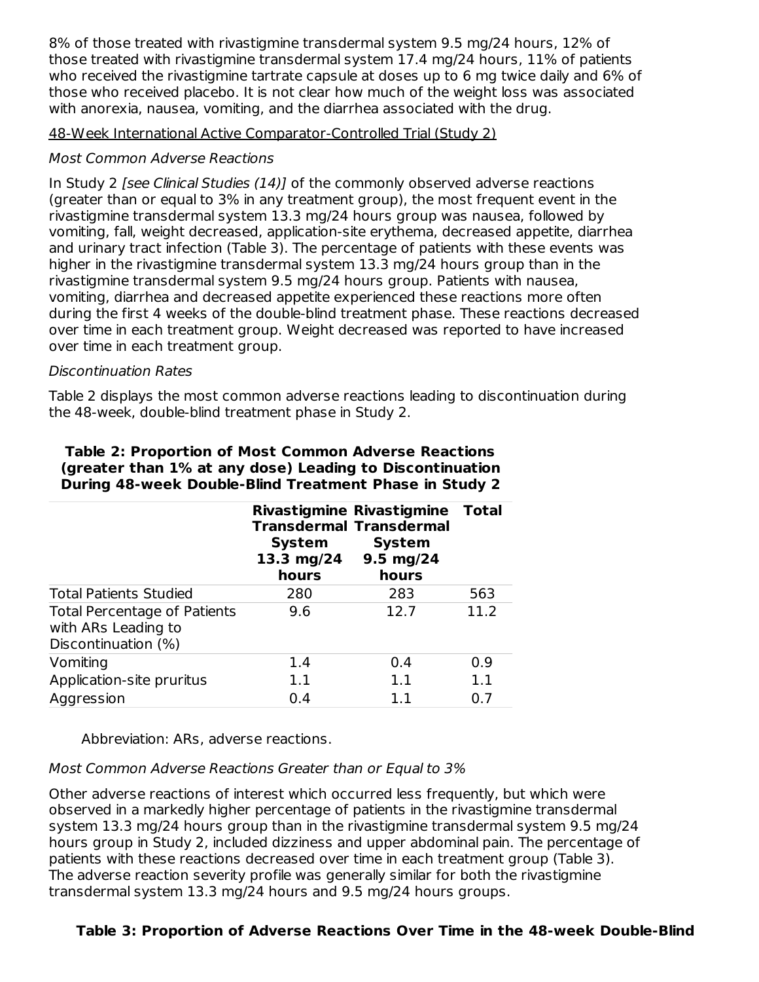8% of those treated with rivastigmine transdermal system 9.5 mg/24 hours, 12% of those treated with rivastigmine transdermal system 17.4 mg/24 hours, 11% of patients who received the rivastigmine tartrate capsule at doses up to 6 mg twice daily and 6% of those who received placebo. It is not clear how much of the weight loss was associated with anorexia, nausea, vomiting, and the diarrhea associated with the drug.

48-Week International Active Comparator-Controlled Trial (Study 2)

### Most Common Adverse Reactions

In Study 2 [see Clinical Studies (14)] of the commonly observed adverse reactions (greater than or equal to 3% in any treatment group), the most frequent event in the rivastigmine transdermal system 13.3 mg/24 hours group was nausea, followed by vomiting, fall, weight decreased, application-site erythema, decreased appetite, diarrhea and urinary tract infection (Table 3). The percentage of patients with these events was higher in the rivastigmine transdermal system 13.3 mg/24 hours group than in the rivastigmine transdermal system 9.5 mg/24 hours group. Patients with nausea, vomiting, diarrhea and decreased appetite experienced these reactions more often during the first 4 weeks of the double-blind treatment phase. These reactions decreased over time in each treatment group. Weight decreased was reported to have increased over time in each treatment group.

### Discontinuation Rates

Table 2 displays the most common adverse reactions leading to discontinuation during the 48-week, double-blind treatment phase in Study 2.

|                                                                                   | System<br>13.3 mg/24 9.5 mg/24<br>hours | <b>Rivastigmine Rivastigmine</b><br><b>Transdermal Transdermal</b><br><b>System</b><br>hours | <b>Total</b> |
|-----------------------------------------------------------------------------------|-----------------------------------------|----------------------------------------------------------------------------------------------|--------------|
| <b>Total Patients Studied</b>                                                     | 280                                     | 283                                                                                          | 563          |
| <b>Total Percentage of Patients</b><br>with ARs Leading to<br>Discontinuation (%) | 9.6                                     | 12.7                                                                                         | 11.2         |
| Vomiting                                                                          | 1.4                                     | 0.4                                                                                          | 0.9          |
| Application-site pruritus                                                         | 1.1                                     | 1.1                                                                                          | 1.1          |
| Aggression                                                                        | 0.4                                     | 11                                                                                           | 0.7          |

#### **Table 2: Proportion of Most Common Adverse Reactions (greater than 1% at any dose) Leading to Discontinuation During 48-week Double-Blind Treatment Phase in Study 2**

Abbreviation: ARs, adverse reactions.

### Most Common Adverse Reactions Greater than or Equal to 3%

Other adverse reactions of interest which occurred less frequently, but which were observed in a markedly higher percentage of patients in the rivastigmine transdermal system 13.3 mg/24 hours group than in the rivastigmine transdermal system 9.5 mg/24 hours group in Study 2, included dizziness and upper abdominal pain. The percentage of patients with these reactions decreased over time in each treatment group (Table 3). The adverse reaction severity profile was generally similar for both the rivastigmine transdermal system 13.3 mg/24 hours and 9.5 mg/24 hours groups.

### **Table 3: Proportion of Adverse Reactions Over Time in the 48-week Double-Blind**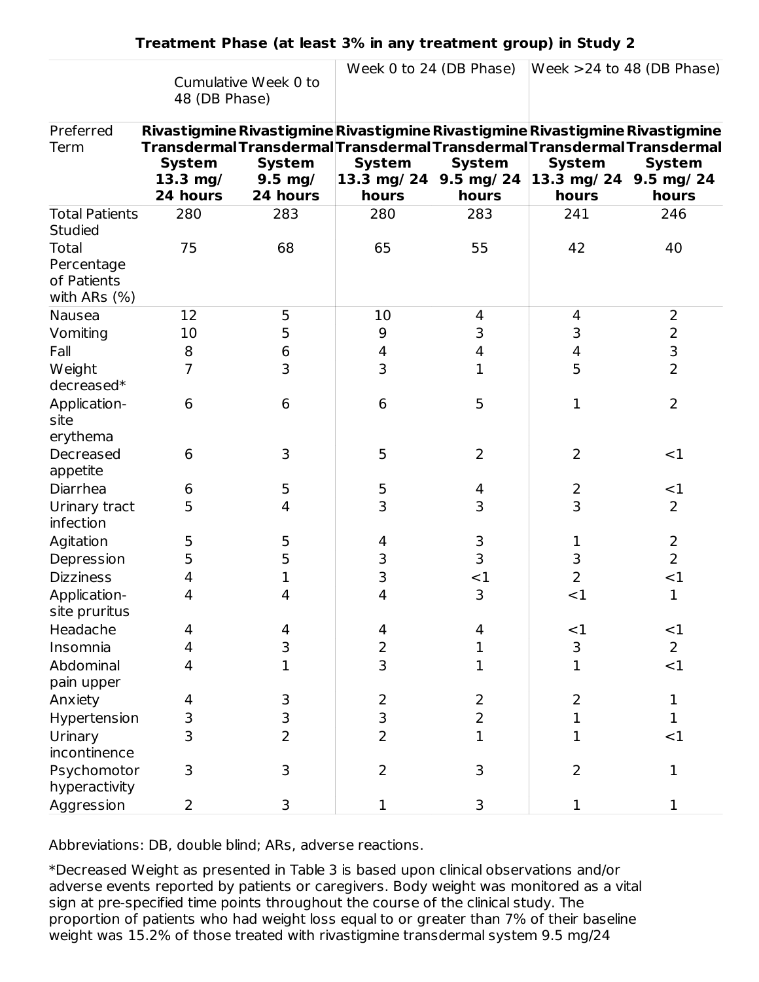|                                         |                                                                               |                      |                        | Week 0 to 24 (DB Phase) |                        | Week $>24$ to 48 (DB Phase) |
|-----------------------------------------|-------------------------------------------------------------------------------|----------------------|------------------------|-------------------------|------------------------|-----------------------------|
|                                         |                                                                               | Cumulative Week 0 to |                        |                         |                        |                             |
|                                         | 48 (DB Phase)                                                                 |                      |                        |                         |                        |                             |
|                                         |                                                                               |                      |                        |                         |                        |                             |
| Preferred                               | Rivastigmine Rivastigmine Rivastigmine Rivastigmine Rivastigmine Rivastigmine |                      |                        |                         |                        |                             |
| Term                                    | TransdermalTransdermalTransdermalTransdermalTransdermalTransdermal            |                      |                        |                         |                        |                             |
|                                         | <b>System</b>                                                                 | <b>System</b>        | <b>System</b>          | <b>System</b>           | <b>System</b>          | <b>System</b>               |
|                                         | $13.3$ mg/                                                                    | $9.5$ mg/            | 13.3 mg/ 24 9.5 mg/ 24 |                         | 13.3 mg/ 24 9.5 mg/ 24 |                             |
|                                         | 24 hours                                                                      | 24 hours             | hours                  | hours                   | hours                  | hours                       |
| <b>Total Patients</b><br><b>Studied</b> | 280                                                                           | 283                  | 280                    | 283                     | 241                    | 246                         |
| Total                                   | 75                                                                            | 68                   | 65                     | 55                      | 42                     | 40                          |
| Percentage                              |                                                                               |                      |                        |                         |                        |                             |
| of Patients                             |                                                                               |                      |                        |                         |                        |                             |
| with ARs $(\%)$                         |                                                                               |                      |                        |                         |                        |                             |
| Nausea                                  | 12                                                                            | 5                    | 10                     | 4                       | 4                      | 2                           |
| Vomiting                                | 10                                                                            | 5                    | 9                      | 3                       | 3                      | $\overline{2}$              |
| Fall                                    | 8                                                                             | 6                    | 4                      | 4                       | 4                      | 3                           |
| Weight                                  | 7                                                                             | 3                    | 3                      | 1                       | 5                      | $\overline{2}$              |
| decreased*                              |                                                                               |                      |                        |                         |                        |                             |
| Application-                            | 6                                                                             | 6                    | 6                      | 5                       | 1                      | $\overline{2}$              |
| site                                    |                                                                               |                      |                        |                         |                        |                             |
| erythema                                |                                                                               |                      |                        |                         |                        |                             |
| Decreased                               | 6                                                                             | 3                    | 5                      | 2                       | 2                      | $<$ 1                       |
| appetite                                |                                                                               |                      |                        |                         |                        |                             |
| Diarrhea                                | 6                                                                             | 5                    | 5                      | 4                       | $\overline{2}$         | $<$ 1                       |
| Urinary tract<br>infection              | 5                                                                             | 4                    | 3                      | 3                       | 3                      | $\overline{2}$              |
| Agitation                               | 5                                                                             | 5                    | 4                      | 3                       | 1                      | $\overline{2}$              |
| Depression                              | 5                                                                             | 5                    | 3                      | 3                       | 3                      | $\overline{2}$              |
| <b>Dizziness</b>                        | 4                                                                             | $\mathbf 1$          | 3                      | $<$ 1                   | $\overline{2}$         | <1                          |
| Application-                            | 4                                                                             | 4                    | 4                      | 3                       | $<$ 1                  | $\mathbf{1}$                |
| site pruritus                           |                                                                               |                      |                        |                         |                        |                             |
| Headache                                | 4                                                                             | 4                    | 4                      | 4                       | ${<}1$                 | <1                          |
| Insomnia                                | $\overline{4}$                                                                | 3                    | $\overline{2}$         | 1                       | $\mathsf 3$            | $\overline{2}$              |
| Abdominal                               | $\overline{4}$                                                                | $\overline{1}$       | $\overline{3}$         | $\mathbf 1$             | $\overline{1}$         | <1                          |
| pain upper                              |                                                                               |                      |                        |                         |                        |                             |
| Anxiety                                 | 4                                                                             | 3                    | $\overline{2}$         | $\overline{2}$          | $\overline{2}$         | $\mathbf 1$                 |
| Hypertension                            | 3                                                                             | 3                    | 3                      | $\overline{2}$          | $\mathbf 1$            | $\mathbf{1}$                |
| Urinary                                 | $\overline{3}$                                                                | $\overline{2}$       | $\overline{2}$         | $\mathbf{1}$            | $\mathbf 1$            | <1                          |
| incontinence                            |                                                                               |                      |                        |                         |                        |                             |
| Psychomotor                             | 3                                                                             | 3                    | $\overline{2}$         | 3                       | $\overline{2}$         | $\mathbf{1}$                |
| hyperactivity                           |                                                                               |                      |                        |                         |                        |                             |
| Aggression                              | $\overline{2}$                                                                | 3                    | 1                      | 3                       | 1                      | $\mathbf 1$                 |

Abbreviations: DB, double blind; ARs, adverse reactions.

\*Decreased Weight as presented in Table 3 is based upon clinical observations and/or adverse events reported by patients or caregivers. Body weight was monitored as a vital sign at pre-specified time points throughout the course of the clinical study. The proportion of patients who had weight loss equal to or greater than 7% of their baseline weight was 15.2% of those treated with rivastigmine transdermal system 9.5 mg/24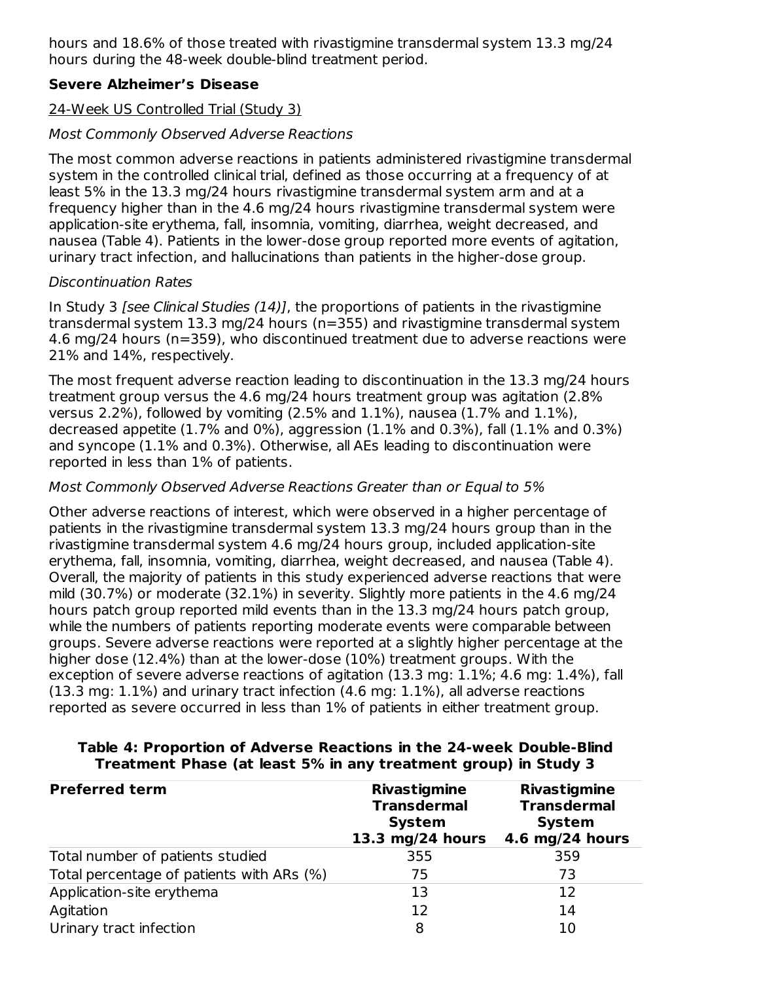hours and 18.6% of those treated with rivastigmine transdermal system 13.3 mg/24 hours during the 48-week double-blind treatment period.

### **Severe Alzheimer's Disease**

### 24-Week US Controlled Trial (Study 3)

### Most Commonly Observed Adverse Reactions

The most common adverse reactions in patients administered rivastigmine transdermal system in the controlled clinical trial, defined as those occurring at a frequency of at least 5% in the 13.3 mg/24 hours rivastigmine transdermal system arm and at a frequency higher than in the 4.6 mg/24 hours rivastigmine transdermal system were application-site erythema, fall, insomnia, vomiting, diarrhea, weight decreased, and nausea (Table 4). Patients in the lower-dose group reported more events of agitation, urinary tract infection, and hallucinations than patients in the higher-dose group.

#### Discontinuation Rates

In Study 3 [see Clinical Studies (14)], the proportions of patients in the rivastigmine transdermal system 13.3 mg/24 hours (n=355) and rivastigmine transdermal system 4.6 mg/24 hours (n=359), who discontinued treatment due to adverse reactions were 21% and 14%, respectively.

The most frequent adverse reaction leading to discontinuation in the 13.3 mg/24 hours treatment group versus the 4.6 mg/24 hours treatment group was agitation (2.8% versus 2.2%), followed by vomiting (2.5% and 1.1%), nausea (1.7% and 1.1%), decreased appetite (1.7% and 0%), aggression (1.1% and 0.3%), fall (1.1% and 0.3%) and syncope (1.1% and 0.3%). Otherwise, all AEs leading to discontinuation were reported in less than 1% of patients.

### Most Commonly Observed Adverse Reactions Greater than or Equal to 5%

Other adverse reactions of interest, which were observed in a higher percentage of patients in the rivastigmine transdermal system 13.3 mg/24 hours group than in the rivastigmine transdermal system 4.6 mg/24 hours group, included application-site erythema, fall, insomnia, vomiting, diarrhea, weight decreased, and nausea (Table 4). Overall, the majority of patients in this study experienced adverse reactions that were mild (30.7%) or moderate (32.1%) in severity. Slightly more patients in the 4.6 mg/24 hours patch group reported mild events than in the 13.3 mg/24 hours patch group, while the numbers of patients reporting moderate events were comparable between groups. Severe adverse reactions were reported at a slightly higher percentage at the higher dose (12.4%) than at the lower-dose (10%) treatment groups. With the exception of severe adverse reactions of agitation (13.3 mg: 1.1%; 4.6 mg: 1.4%), fall (13.3 mg: 1.1%) and urinary tract infection (4.6 mg: 1.1%), all adverse reactions reported as severe occurred in less than 1% of patients in either treatment group.

| <b>Preferred term</b>                     | <b>Rivastigmine</b><br><b>Transdermal</b><br><b>System</b><br>13.3 mg/24 hours | <b>Rivastigmine</b><br><b>Transdermal</b><br><b>System</b><br>4.6 mg/24 hours |
|-------------------------------------------|--------------------------------------------------------------------------------|-------------------------------------------------------------------------------|
| Total number of patients studied          | 355                                                                            | 359                                                                           |
| Total percentage of patients with ARs (%) | 75                                                                             | 73                                                                            |
| Application-site erythema                 | 13                                                                             | 12                                                                            |
| Agitation                                 | 12                                                                             | 14                                                                            |
| Urinary tract infection                   | 8                                                                              | 10                                                                            |

#### **Table 4: Proportion of Adverse Reactions in the 24-week Double-Blind Treatment Phase (at least 5% in any treatment group) in Study 3**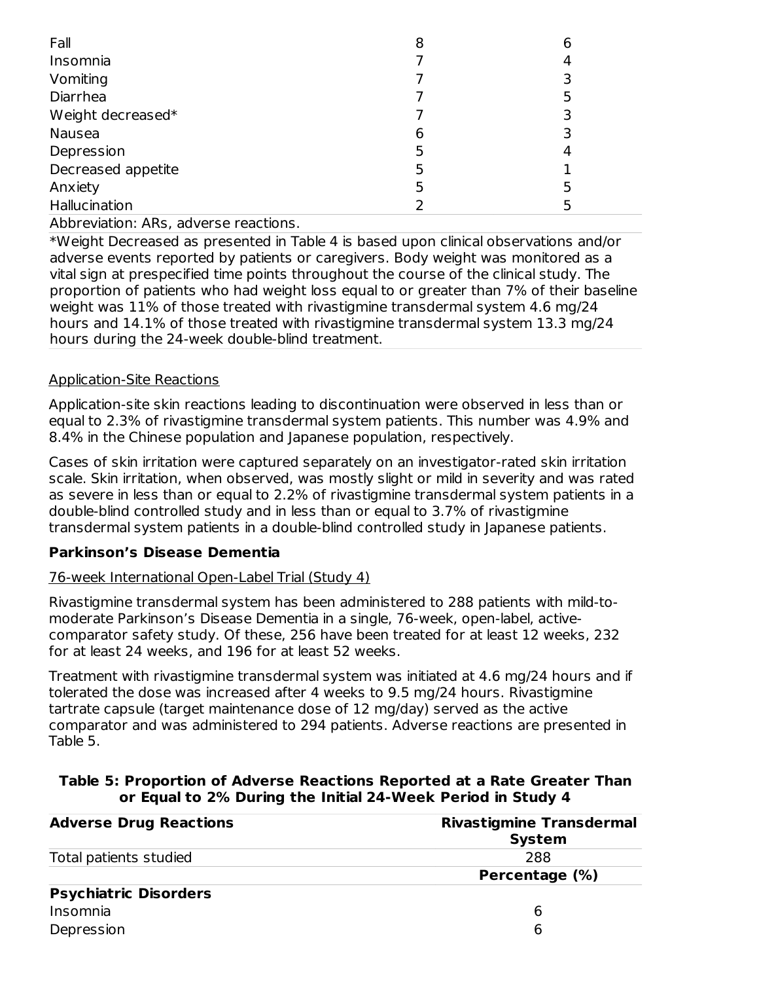| Fall               | 8 | 6 |
|--------------------|---|---|
| Insomnia           |   | 4 |
| Vomiting           |   |   |
| Diarrhea           |   |   |
| Weight decreased*  |   | 3 |
| Nausea             | 6 | 3 |
| Depression         | 5 | 4 |
| Decreased appetite | 5 |   |
| Anxiety            | 5 |   |
| Hallucination      |   |   |

Abbreviation: ARs, adverse reactions.

\*Weight Decreased as presented in Table 4 is based upon clinical observations and/or adverse events reported by patients or caregivers. Body weight was monitored as a vital sign at prespecified time points throughout the course of the clinical study. The proportion of patients who had weight loss equal to or greater than 7% of their baseline weight was 11% of those treated with rivastigmine transdermal system 4.6 mg/24 hours and 14.1% of those treated with rivastigmine transdermal system 13.3 mg/24 hours during the 24-week double-blind treatment.

### Application-Site Reactions

Application-site skin reactions leading to discontinuation were observed in less than or equal to 2.3% of rivastigmine transdermal system patients. This number was 4.9% and 8.4% in the Chinese population and Japanese population, respectively.

Cases of skin irritation were captured separately on an investigator-rated skin irritation scale. Skin irritation, when observed, was mostly slight or mild in severity and was rated as severe in less than or equal to 2.2% of rivastigmine transdermal system patients in a double-blind controlled study and in less than or equal to 3.7% of rivastigmine transdermal system patients in a double-blind controlled study in Japanese patients.

### **Parkinson's Disease Dementia**

### 76-week International Open-Label Trial (Study 4)

Rivastigmine transdermal system has been administered to 288 patients with mild-tomoderate Parkinson's Disease Dementia in a single, 76-week, open-label, activecomparator safety study. Of these, 256 have been treated for at least 12 weeks, 232 for at least 24 weeks, and 196 for at least 52 weeks.

Treatment with rivastigmine transdermal system was initiated at 4.6 mg/24 hours and if tolerated the dose was increased after 4 weeks to 9.5 mg/24 hours. Rivastigmine tartrate capsule (target maintenance dose of 12 mg/day) served as the active comparator and was administered to 294 patients. Adverse reactions are presented in Table 5.

#### **Table 5: Proportion of Adverse Reactions Reported at a Rate Greater Than or Equal to 2% During the Initial 24-Week Period in Study 4**

| <b>Adverse Drug Reactions</b> | <b>Rivastigmine Transdermal</b><br><b>System</b> |
|-------------------------------|--------------------------------------------------|
| Total patients studied        | 288                                              |
|                               | Percentage (%)                                   |
| <b>Psychiatric Disorders</b>  |                                                  |
| Insomnia                      | 6                                                |
| Depression                    | 6                                                |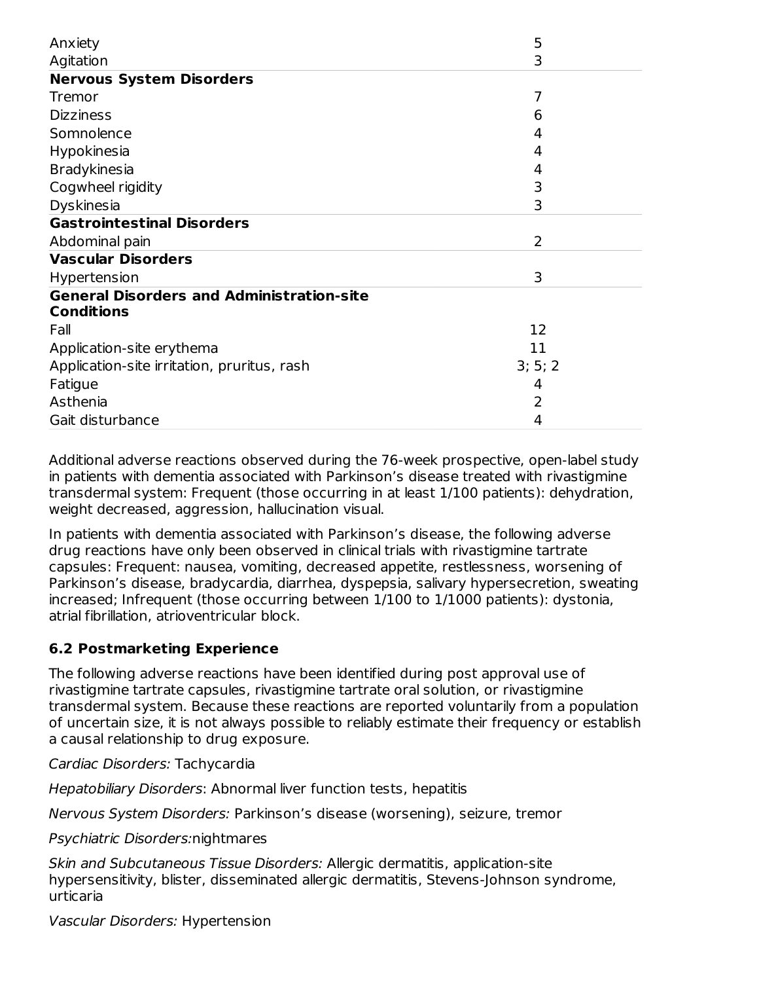| Anxiety                                          | 5       |
|--------------------------------------------------|---------|
| Agitation                                        | 3       |
| <b>Nervous System Disorders</b>                  |         |
| Tremor                                           | 7       |
| <b>Dizziness</b>                                 | 6       |
| Somnolence                                       | 4       |
| Hypokinesia                                      | 4       |
| <b>Bradykinesia</b>                              | 4       |
| Cogwheel rigidity                                | 3       |
| Dyskinesia                                       | 3       |
| <b>Gastrointestinal Disorders</b>                |         |
| Abdominal pain                                   | 2       |
| <b>Vascular Disorders</b>                        |         |
| Hypertension                                     | 3       |
| <b>General Disorders and Administration-site</b> |         |
| <b>Conditions</b>                                |         |
| Fall                                             | 12      |
| Application-site erythema                        | 11      |
| Application-site irritation, pruritus, rash      | 3; 5; 2 |
| Fatigue                                          | 4       |
| Asthenia                                         | 2       |
| Gait disturbance                                 | 4       |

Additional adverse reactions observed during the 76-week prospective, open-label study in patients with dementia associated with Parkinson's disease treated with rivastigmine transdermal system: Frequent (those occurring in at least 1/100 patients): dehydration, weight decreased, aggression, hallucination visual.

In patients with dementia associated with Parkinson's disease, the following adverse drug reactions have only been observed in clinical trials with rivastigmine tartrate capsules: Frequent: nausea, vomiting, decreased appetite, restlessness, worsening of Parkinson's disease, bradycardia, diarrhea, dyspepsia, salivary hypersecretion, sweating increased; Infrequent (those occurring between 1/100 to 1/1000 patients): dystonia, atrial fibrillation, atrioventricular block.

## **6.2 Postmarketing Experience**

The following adverse reactions have been identified during post approval use of rivastigmine tartrate capsules, rivastigmine tartrate oral solution, or rivastigmine transdermal system. Because these reactions are reported voluntarily from a population of uncertain size, it is not always possible to reliably estimate their frequency or establish a causal relationship to drug exposure.

Cardiac Disorders: Tachycardia

Hepatobiliary Disorders: Abnormal liver function tests, hepatitis

Nervous System Disorders: Parkinson's disease (worsening), seizure, tremor

Psychiatric Disorders:nightmares

Skin and Subcutaneous Tissue Disorders: Allergic dermatitis, application-site hypersensitivity, blister, disseminated allergic dermatitis, Stevens-Johnson syndrome, urticaria

Vascular Disorders: Hypertension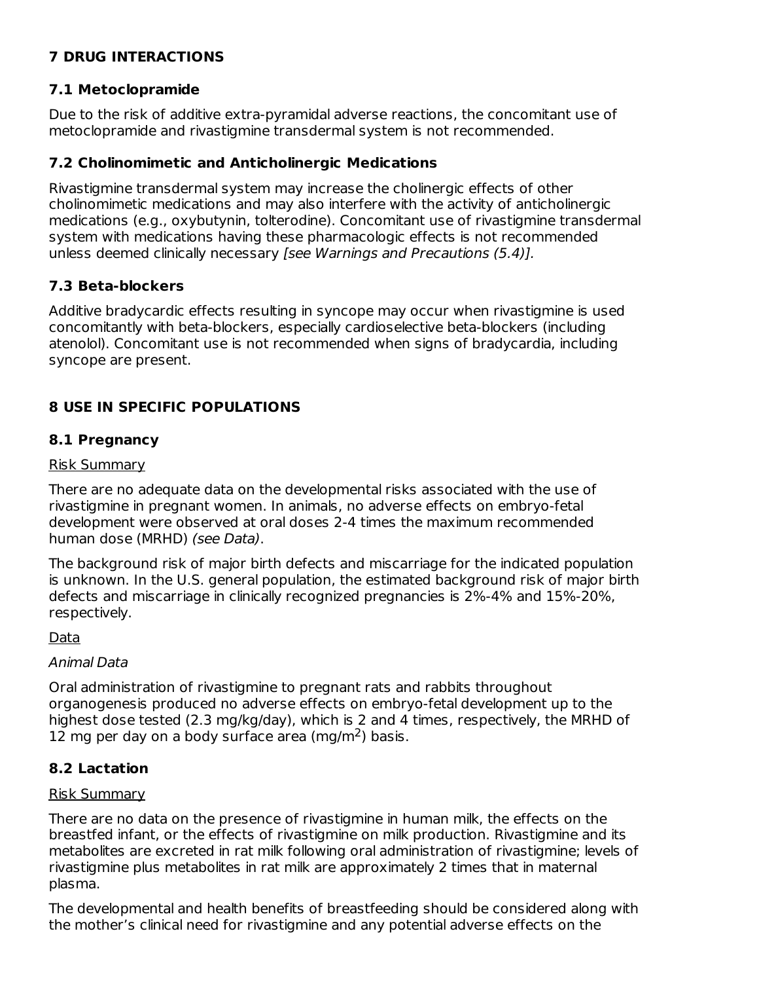## **7 DRUG INTERACTIONS**

## **7.1 Metoclopramide**

Due to the risk of additive extra-pyramidal adverse reactions, the concomitant use of metoclopramide and rivastigmine transdermal system is not recommended.

### **7.2 Cholinomimetic and Anticholinergic Medications**

Rivastigmine transdermal system may increase the cholinergic effects of other cholinomimetic medications and may also interfere with the activity of anticholinergic medications (e.g., oxybutynin, tolterodine). Concomitant use of rivastigmine transdermal system with medications having these pharmacologic effects is not recommended unless deemed clinically necessary [see Warnings and Precautions (5.4)].

### **7.3 Beta-blockers**

Additive bradycardic effects resulting in syncope may occur when rivastigmine is used concomitantly with beta-blockers, especially cardioselective beta-blockers (including atenolol). Concomitant use is not recommended when signs of bradycardia, including syncope are present.

## **8 USE IN SPECIFIC POPULATIONS**

### **8.1 Pregnancy**

#### Risk Summary

There are no adequate data on the developmental risks associated with the use of rivastigmine in pregnant women. In animals, no adverse effects on embryo-fetal development were observed at oral doses 2-4 times the maximum recommended human dose (MRHD) (see Data).

The background risk of major birth defects and miscarriage for the indicated population is unknown. In the U.S. general population, the estimated background risk of major birth defects and miscarriage in clinically recognized pregnancies is 2%-4% and 15%-20%, respectively.

### Data

### Animal Data

Oral administration of rivastigmine to pregnant rats and rabbits throughout organogenesis produced no adverse effects on embryo-fetal development up to the highest dose tested (2.3 mg/kg/day), which is 2 and 4 times, respectively, the MRHD of 12 mg per day on a body surface area (mg/m<sup>2</sup>) basis.

## **8.2 Lactation**

### Risk Summary

There are no data on the presence of rivastigmine in human milk, the effects on the breastfed infant, or the effects of rivastigmine on milk production. Rivastigmine and its metabolites are excreted in rat milk following oral administration of rivastigmine; levels of rivastigmine plus metabolites in rat milk are approximately 2 times that in maternal plasma.

The developmental and health benefits of breastfeeding should be considered along with the mother's clinical need for rivastigmine and any potential adverse effects on the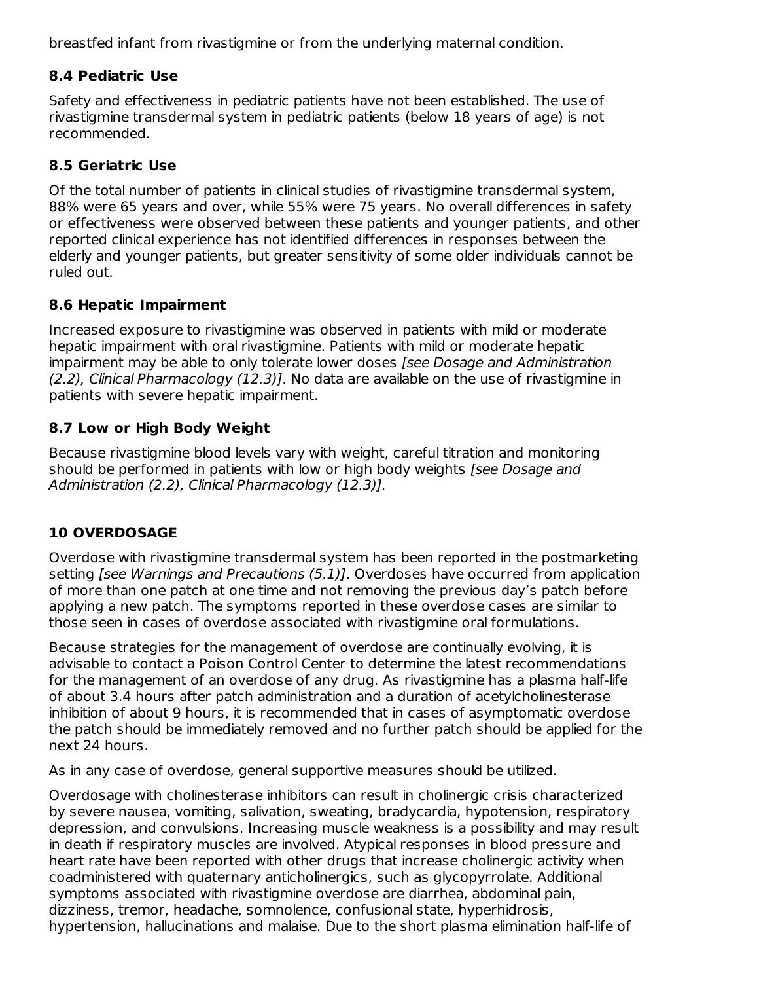breastfed infant from rivastigmine or from the underlying maternal condition.

## **8.4 Pediatric Use**

Safety and effectiveness in pediatric patients have not been established. The use of rivastigmine transdermal system in pediatric patients (below 18 years of age) is not recommended.

## **8.5 Geriatric Use**

Of the total number of patients in clinical studies of rivastigmine transdermal system, 88% were 65 years and over, while 55% were 75 years. No overall differences in safety or effectiveness were observed between these patients and younger patients, and other reported clinical experience has not identified differences in responses between the elderly and younger patients, but greater sensitivity of some older individuals cannot be ruled out.

## **8.6 Hepatic Impairment**

Increased exposure to rivastigmine was observed in patients with mild or moderate hepatic impairment with oral rivastigmine. Patients with mild or moderate hepatic impairment may be able to only tolerate lower doses [see Dosage and Administration (2.2), Clinical Pharmacology (12.3)]. No data are available on the use of rivastigmine in patients with severe hepatic impairment.

## **8.7 Low or High Body Weight**

Because rivastigmine blood levels vary with weight, careful titration and monitoring should be performed in patients with low or high body weights *[see Dosage and* Administration (2.2), Clinical Pharmacology (12.3)].

## **10 OVERDOSAGE**

Overdose with rivastigmine transdermal system has been reported in the postmarketing setting *[see Warnings and Precautions (5.1)*]. Overdoses have occurred from application of more than one patch at one time and not removing the previous day's patch before applying a new patch. The symptoms reported in these overdose cases are similar to those seen in cases of overdose associated with rivastigmine oral formulations.

Because strategies for the management of overdose are continually evolving, it is advisable to contact a Poison Control Center to determine the latest recommendations for the management of an overdose of any drug. As rivastigmine has a plasma half-life of about 3.4 hours after patch administration and a duration of acetylcholinesterase inhibition of about 9 hours, it is recommended that in cases of asymptomatic overdose the patch should be immediately removed and no further patch should be applied for the next 24 hours.

As in any case of overdose, general supportive measures should be utilized.

Overdosage with cholinesterase inhibitors can result in cholinergic crisis characterized by severe nausea, vomiting, salivation, sweating, bradycardia, hypotension, respiratory depression, and convulsions. Increasing muscle weakness is a possibility and may result in death if respiratory muscles are involved. Atypical responses in blood pressure and heart rate have been reported with other drugs that increase cholinergic activity when coadministered with quaternary anticholinergics, such as glycopyrrolate. Additional symptoms associated with rivastigmine overdose are diarrhea, abdominal pain, dizziness, tremor, headache, somnolence, confusional state, hyperhidrosis, hypertension, hallucinations and malaise. Due to the short plasma elimination half-life of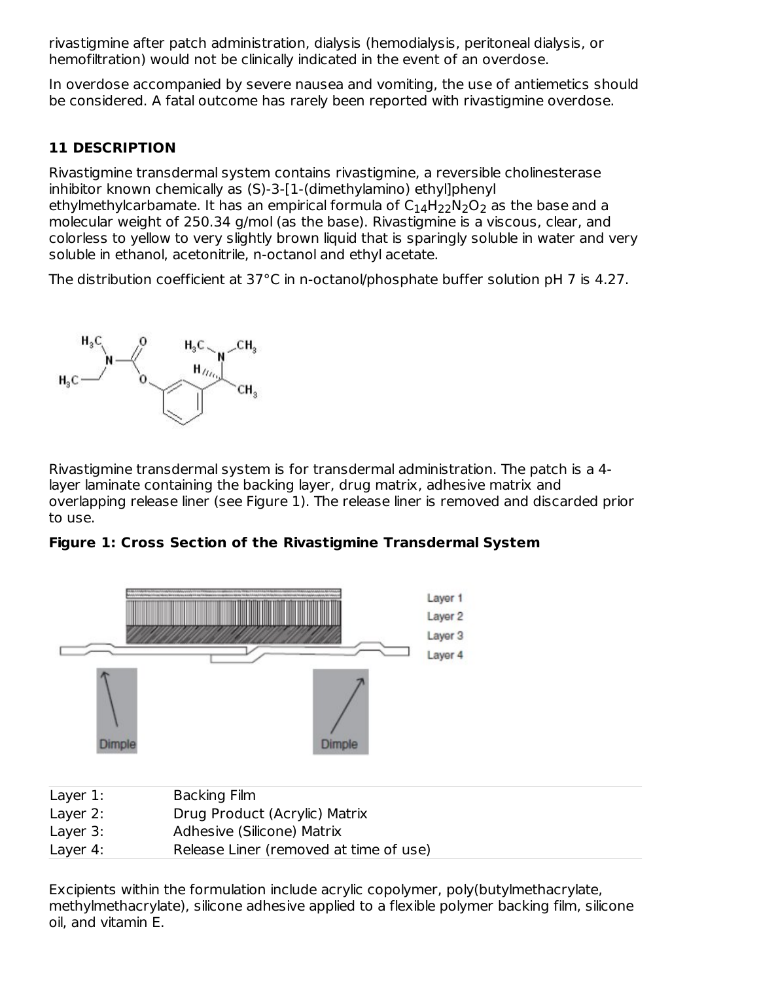rivastigmine after patch administration, dialysis (hemodialysis, peritoneal dialysis, or hemofiltration) would not be clinically indicated in the event of an overdose.

In overdose accompanied by severe nausea and vomiting, the use of antiemetics should be considered. A fatal outcome has rarely been reported with rivastigmine overdose.

## **11 DESCRIPTION**

Rivastigmine transdermal system contains rivastigmine, a reversible cholinesterase inhibitor known chemically as (S)-3-[1-(dimethylamino) ethyl]phenyl ethylmethylcarbamate. It has an empirical formula of  $\mathsf{C}_{14}\mathsf{H}_{22}\mathsf{N}_2\mathsf{O}_2$  as the base and a molecular weight of 250.34 g/mol (as the base). Rivastigmine is a viscous, clear, and colorless to yellow to very slightly brown liquid that is sparingly soluble in water and very soluble in ethanol, acetonitrile, n-octanol and ethyl acetate.

The distribution coefficient at 37°C in n-octanol/phosphate buffer solution pH 7 is 4.27.



Rivastigmine transdermal system is for transdermal administration. The patch is a 4 layer laminate containing the backing layer, drug matrix, adhesive matrix and overlapping release liner (see Figure 1). The release liner is removed and discarded prior to use.





Layer 4: Release Liner (removed at time of use)

Excipients within the formulation include acrylic copolymer, poly(butylmethacrylate, methylmethacrylate), silicone adhesive applied to a flexible polymer backing film, silicone oil, and vitamin E.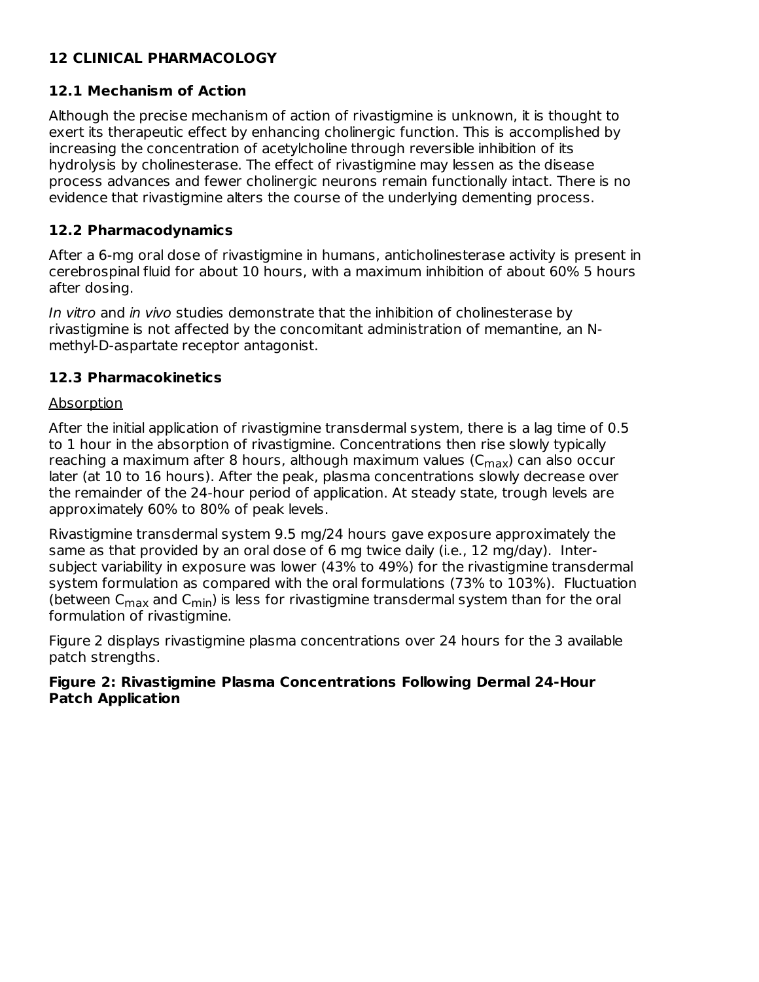## **12 CLINICAL PHARMACOLOGY**

### **12.1 Mechanism of Action**

Although the precise mechanism of action of rivastigmine is unknown, it is thought to exert its therapeutic effect by enhancing cholinergic function. This is accomplished by increasing the concentration of acetylcholine through reversible inhibition of its hydrolysis by cholinesterase. The effect of rivastigmine may lessen as the disease process advances and fewer cholinergic neurons remain functionally intact. There is no evidence that rivastigmine alters the course of the underlying dementing process.

### **12.2 Pharmacodynamics**

After a 6-mg oral dose of rivastigmine in humans, anticholinesterase activity is present in cerebrospinal fluid for about 10 hours, with a maximum inhibition of about 60% 5 hours after dosing.

In vitro and in vivo studies demonstrate that the inhibition of cholinesterase by rivastigmine is not affected by the concomitant administration of memantine, an Nmethyl-D-aspartate receptor antagonist.

### **12.3 Pharmacokinetics**

### Absorption

After the initial application of rivastigmine transdermal system, there is a lag time of 0.5 to 1 hour in the absorption of rivastigmine. Concentrations then rise slowly typically reaching a maximum after 8 hours, although maximum values (C<sub>max</sub>) can also occur later (at 10 to 16 hours). After the peak, plasma concentrations slowly decrease over the remainder of the 24-hour period of application. At steady state, trough levels are approximately 60% to 80% of peak levels.

Rivastigmine transdermal system 9.5 mg/24 hours gave exposure approximately the same as that provided by an oral dose of 6 mg twice daily (i.e., 12 mg/day). Intersubject variability in exposure was lower (43% to 49%) for the rivastigmine transdermal system formulation as compared with the oral formulations (73% to 103%). Fluctuation (between  ${\sf C}_{\sf max}$  and  ${\sf C}_{\sf min}$ ) is less for rivastigmine transdermal system than for the oral formulation of rivastigmine.

Figure 2 displays rivastigmine plasma concentrations over 24 hours for the 3 available patch strengths.

#### **Figure 2: Rivastigmine Plasma Concentrations Following Dermal 24-Hour Patch Application**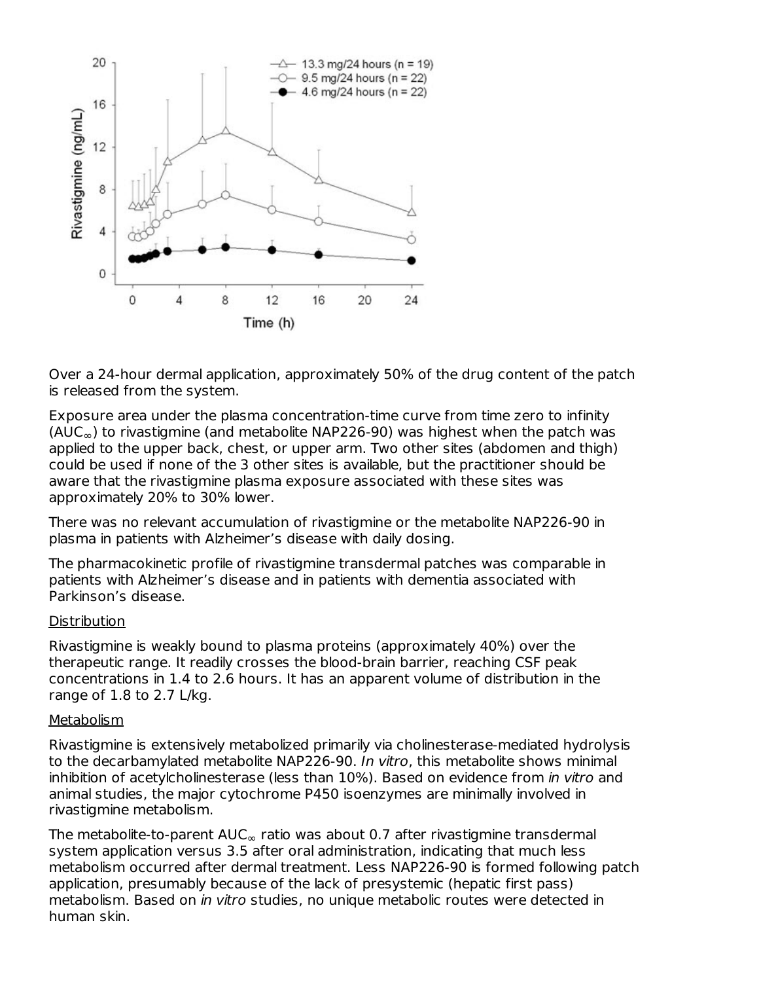

Over a 24-hour dermal application, approximately 50% of the drug content of the patch is released from the system.

Exposure area under the plasma concentration-time curve from time zero to infinity (AUC $_{\infty}$ ) to rivastigmine (and metabolite NAP226-90) was highest when the patch was applied to the upper back, chest, or upper arm. Two other sites (abdomen and thigh) could be used if none of the 3 other sites is available, but the practitioner should be aware that the rivastigmine plasma exposure associated with these sites was approximately 20% to 30% lower.

There was no relevant accumulation of rivastigmine or the metabolite NAP226-90 in plasma in patients with Alzheimer's disease with daily dosing.

The pharmacokinetic profile of rivastigmine transdermal patches was comparable in patients with Alzheimer's disease and in patients with dementia associated with Parkinson's disease.

#### **Distribution**

Rivastigmine is weakly bound to plasma proteins (approximately 40%) over the therapeutic range. It readily crosses the blood-brain barrier, reaching CSF peak concentrations in 1.4 to 2.6 hours. It has an apparent volume of distribution in the range of 1.8 to 2.7 L/kg.

#### Metabolism

Rivastigmine is extensively metabolized primarily via cholinesterase-mediated hydrolysis to the decarbamylated metabolite NAP226-90. In vitro, this metabolite shows minimal inhibition of acetylcholinesterase (less than 10%). Based on evidence from in vitro and animal studies, the major cytochrome P450 isoenzymes are minimally involved in rivastigmine metabolism.

The metabolite-to-parent AUC $_{\infty}$  ratio was about 0.7 after rivastigmine transdermal system application versus 3.5 after oral administration, indicating that much less metabolism occurred after dermal treatment. Less NAP226-90 is formed following patch application, presumably because of the lack of presystemic (hepatic first pass) metabolism. Based on in vitro studies, no unique metabolic routes were detected in human skin.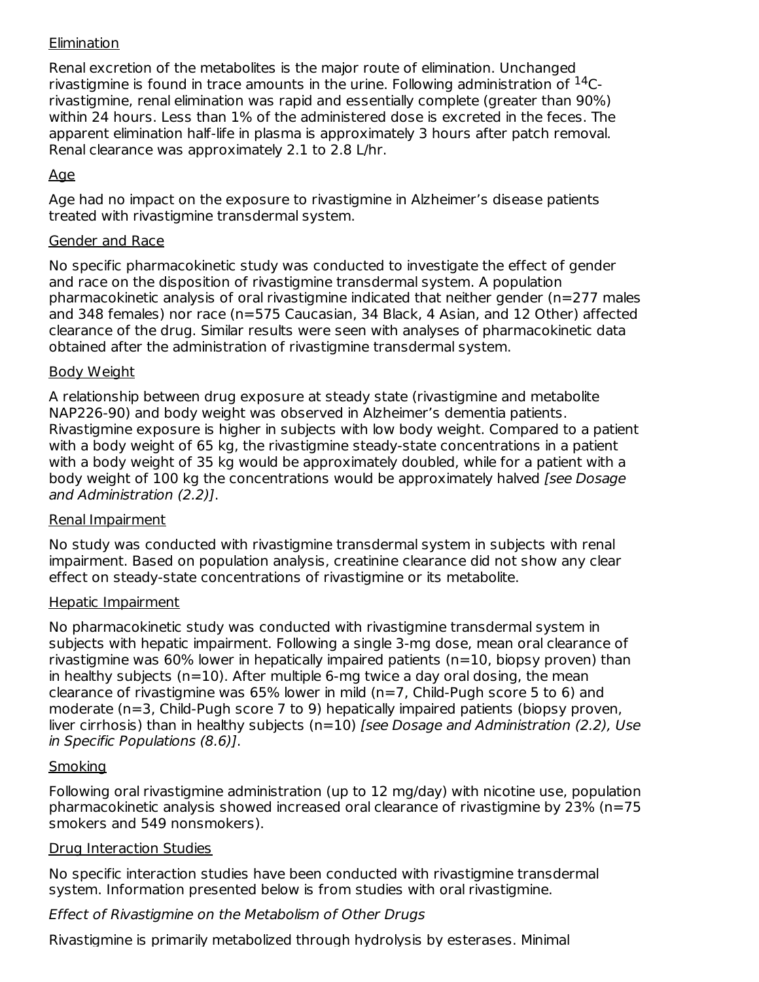## **Elimination**

Renal excretion of the metabolites is the major route of elimination. Unchanged rivastigmine is found in trace amounts in the urine. Following administration of  $^{14}$ Crivastigmine, renal elimination was rapid and essentially complete (greater than 90%) within 24 hours. Less than 1% of the administered dose is excreted in the feces. The apparent elimination half-life in plasma is approximately 3 hours after patch removal. Renal clearance was approximately 2.1 to 2.8 L/hr.

## Age

Age had no impact on the exposure to rivastigmine in Alzheimer's disease patients treated with rivastigmine transdermal system.

### Gender and Race

No specific pharmacokinetic study was conducted to investigate the effect of gender and race on the disposition of rivastigmine transdermal system. A population pharmacokinetic analysis of oral rivastigmine indicated that neither gender (n=277 males and 348 females) nor race (n=575 Caucasian, 34 Black, 4 Asian, and 12 Other) affected clearance of the drug. Similar results were seen with analyses of pharmacokinetic data obtained after the administration of rivastigmine transdermal system.

### Body Weight

A relationship between drug exposure at steady state (rivastigmine and metabolite NAP226-90) and body weight was observed in Alzheimer's dementia patients. Rivastigmine exposure is higher in subjects with low body weight. Compared to a patient with a body weight of 65 kg, the rivastigmine steady-state concentrations in a patient with a body weight of 35 kg would be approximately doubled, while for a patient with a body weight of 100 kg the concentrations would be approximately halved [see Dosage] and Administration (2.2)].

### Renal Impairment

No study was conducted with rivastigmine transdermal system in subjects with renal impairment. Based on population analysis, creatinine clearance did not show any clear effect on steady-state concentrations of rivastigmine or its metabolite.

### Hepatic Impairment

No pharmacokinetic study was conducted with rivastigmine transdermal system in subjects with hepatic impairment. Following a single 3-mg dose, mean oral clearance of rivastigmine was 60% lower in hepatically impaired patients (n=10, biopsy proven) than in healthy subjects ( $n=10$ ). After multiple 6-mg twice a day oral dosing, the mean clearance of rivastigmine was  $65\%$  lower in mild (n=7, Child-Pugh score 5 to 6) and moderate (n=3, Child-Pugh score 7 to 9) hepatically impaired patients (biopsy proven, liver cirrhosis) than in healthy subjects  $(n=10)$  [see Dosage and Administration (2.2), Use in Specific Populations (8.6)].

## **Smoking**

Following oral rivastigmine administration (up to 12 mg/day) with nicotine use, population pharmacokinetic analysis showed increased oral clearance of rivastigmine by 23% (n=75 smokers and 549 nonsmokers).

### Drug Interaction Studies

No specific interaction studies have been conducted with rivastigmine transdermal system. Information presented below is from studies with oral rivastigmine.

## Effect of Rivastigmine on the Metabolism of Other Drugs

Rivastigmine is primarily metabolized through hydrolysis by esterases. Minimal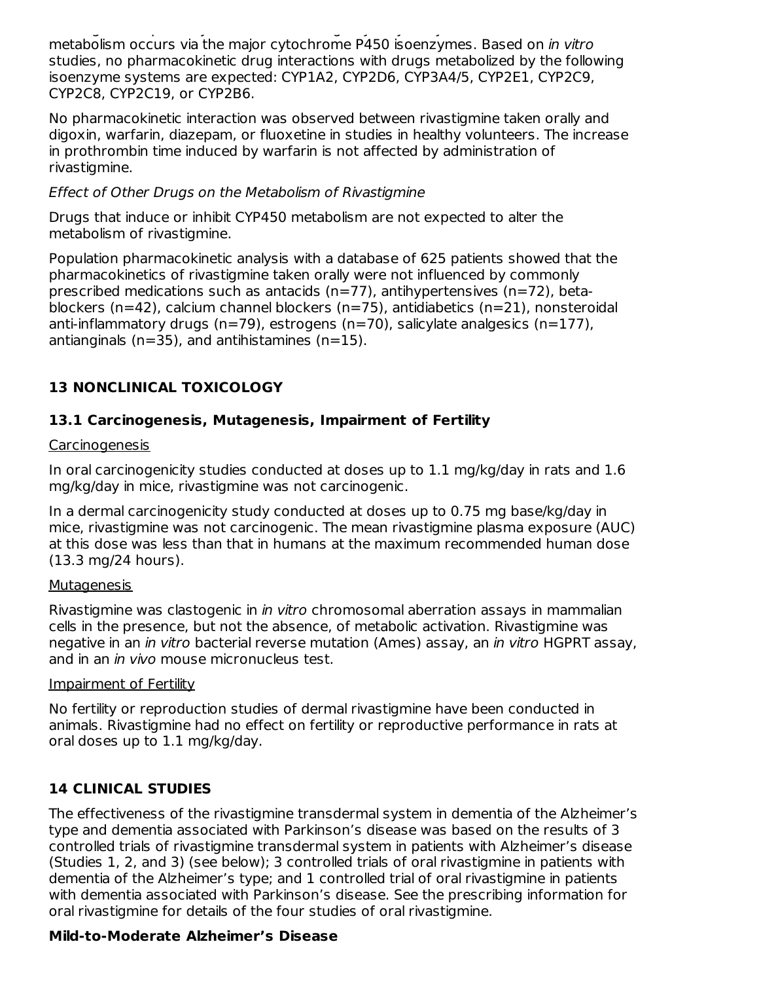Rivastigmine is primarily metabolized through hydrolysis by esterases. Minimal metabolism occurs via the major cytochrome P450 isoenzymes. Based on in vitro studies, no pharmacokinetic drug interactions with drugs metabolized by the following isoenzyme systems are expected: CYP1A2, CYP2D6, CYP3A4/5, CYP2E1, CYP2C9, CYP2C8, CYP2C19, or CYP2B6.

No pharmacokinetic interaction was observed between rivastigmine taken orally and digoxin, warfarin, diazepam, or fluoxetine in studies in healthy volunteers. The increase in prothrombin time induced by warfarin is not affected by administration of rivastigmine.

### Effect of Other Drugs on the Metabolism of Rivastigmine

Drugs that induce or inhibit CYP450 metabolism are not expected to alter the metabolism of rivastigmine.

Population pharmacokinetic analysis with a database of 625 patients showed that the pharmacokinetics of rivastigmine taken orally were not influenced by commonly prescribed medications such as antacids  $(n=77)$ , antihypertensives  $(n=72)$ , betablockers (n=42), calcium channel blockers (n=75), antidiabetics (n=21), nonsteroidal anti-inflammatory drugs (n=79), estrogens (n=70), salicylate analgesics (n=177), antianginals ( $n=35$ ), and antihistamines ( $n=15$ ).

## **13 NONCLINICAL TOXICOLOGY**

## **13.1 Carcinogenesis, Mutagenesis, Impairment of Fertility**

### Carcinogenesis

In oral carcinogenicity studies conducted at doses up to 1.1 mg/kg/day in rats and 1.6 mg/kg/day in mice, rivastigmine was not carcinogenic.

In a dermal carcinogenicity study conducted at doses up to 0.75 mg base/kg/day in mice, rivastigmine was not carcinogenic. The mean rivastigmine plasma exposure (AUC) at this dose was less than that in humans at the maximum recommended human dose (13.3 mg/24 hours).

### **Mutagenesis**

Rivastigmine was clastogenic in in vitro chromosomal aberration assays in mammalian cells in the presence, but not the absence, of metabolic activation. Rivastigmine was negative in an *in vitro* bacterial reverse mutation (Ames) assay, an *in vitro* HGPRT assay, and in an *in vivo* mouse micronucleus test.

### Impairment of Fertility

No fertility or reproduction studies of dermal rivastigmine have been conducted in animals. Rivastigmine had no effect on fertility or reproductive performance in rats at oral doses up to 1.1 mg/kg/day.

## **14 CLINICAL STUDIES**

The effectiveness of the rivastigmine transdermal system in dementia of the Alzheimer's type and dementia associated with Parkinson's disease was based on the results of 3 controlled trials of rivastigmine transdermal system in patients with Alzheimer's disease (Studies 1, 2, and 3) (see below); 3 controlled trials of oral rivastigmine in patients with dementia of the Alzheimer's type; and 1 controlled trial of oral rivastigmine in patients with dementia associated with Parkinson's disease. See the prescribing information for oral rivastigmine for details of the four studies of oral rivastigmine.

## **Mild-to-Moderate Alzheimer's Disease**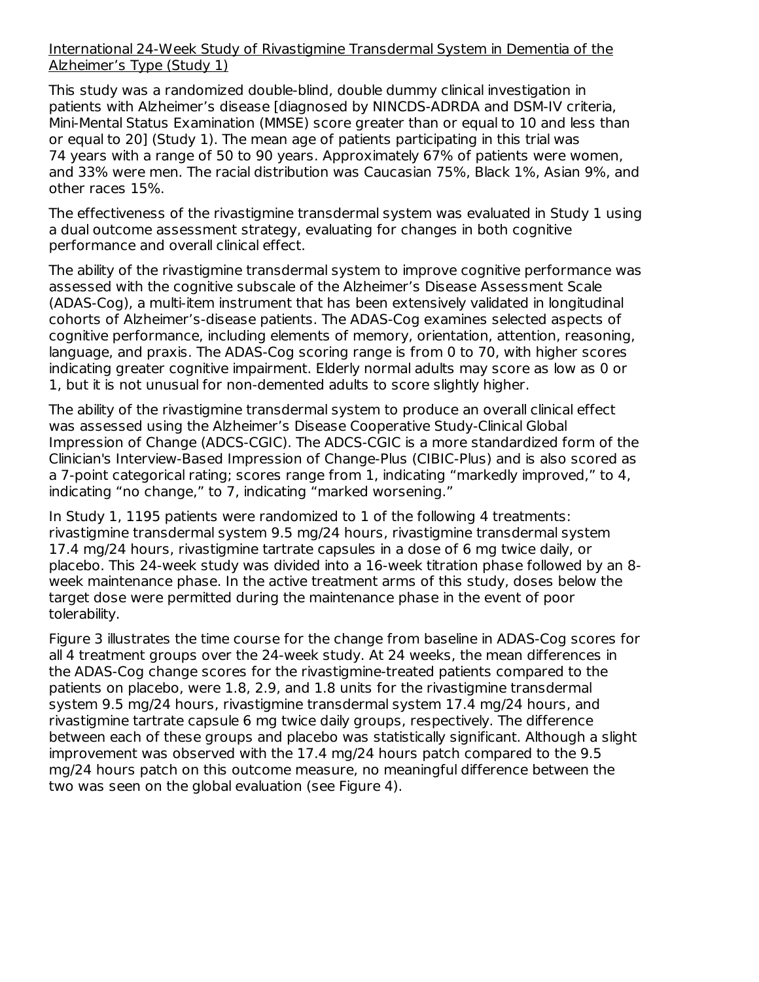### International 24-Week Study of Rivastigmine Transdermal System in Dementia of the Alzheimer's Type (Study 1)

This study was a randomized double-blind, double dummy clinical investigation in patients with Alzheimer's disease [diagnosed by NINCDS-ADRDA and DSM-IV criteria, Mini-Mental Status Examination (MMSE) score greater than or equal to 10 and less than or equal to 20] (Study 1). The mean age of patients participating in this trial was 74 years with a range of 50 to 90 years. Approximately 67% of patients were women, and 33% were men. The racial distribution was Caucasian 75%, Black 1%, Asian 9%, and other races 15%.

The effectiveness of the rivastigmine transdermal system was evaluated in Study 1 using a dual outcome assessment strategy, evaluating for changes in both cognitive performance and overall clinical effect.

The ability of the rivastigmine transdermal system to improve cognitive performance was assessed with the cognitive subscale of the Alzheimer's Disease Assessment Scale (ADAS-Cog), a multi-item instrument that has been extensively validated in longitudinal cohorts of Alzheimer's-disease patients. The ADAS-Cog examines selected aspects of cognitive performance, including elements of memory, orientation, attention, reasoning, language, and praxis. The ADAS-Cog scoring range is from 0 to 70, with higher scores indicating greater cognitive impairment. Elderly normal adults may score as low as 0 or 1, but it is not unusual for non-demented adults to score slightly higher.

The ability of the rivastigmine transdermal system to produce an overall clinical effect was assessed using the Alzheimer's Disease Cooperative Study-Clinical Global Impression of Change (ADCS-CGIC). The ADCS-CGIC is a more standardized form of the Clinician's Interview-Based Impression of Change-Plus (CIBIC-Plus) and is also scored as a 7-point categorical rating; scores range from 1, indicating "markedly improved," to 4, indicating "no change," to 7, indicating "marked worsening."

In Study 1, 1195 patients were randomized to 1 of the following 4 treatments: rivastigmine transdermal system 9.5 mg/24 hours, rivastigmine transdermal system 17.4 mg/24 hours, rivastigmine tartrate capsules in a dose of 6 mg twice daily, or placebo. This 24-week study was divided into a 16-week titration phase followed by an 8 week maintenance phase. In the active treatment arms of this study, doses below the target dose were permitted during the maintenance phase in the event of poor tolerability.

Figure 3 illustrates the time course for the change from baseline in ADAS-Cog scores for all 4 treatment groups over the 24-week study. At 24 weeks, the mean differences in the ADAS-Cog change scores for the rivastigmine-treated patients compared to the patients on placebo, were 1.8, 2.9, and 1.8 units for the rivastigmine transdermal system 9.5 mg/24 hours, rivastigmine transdermal system 17.4 mg/24 hours, and rivastigmine tartrate capsule 6 mg twice daily groups, respectively. The difference between each of these groups and placebo was statistically significant. Although a slight improvement was observed with the 17.4 mg/24 hours patch compared to the 9.5 mg/24 hours patch on this outcome measure, no meaningful difference between the two was seen on the global evaluation (see Figure 4).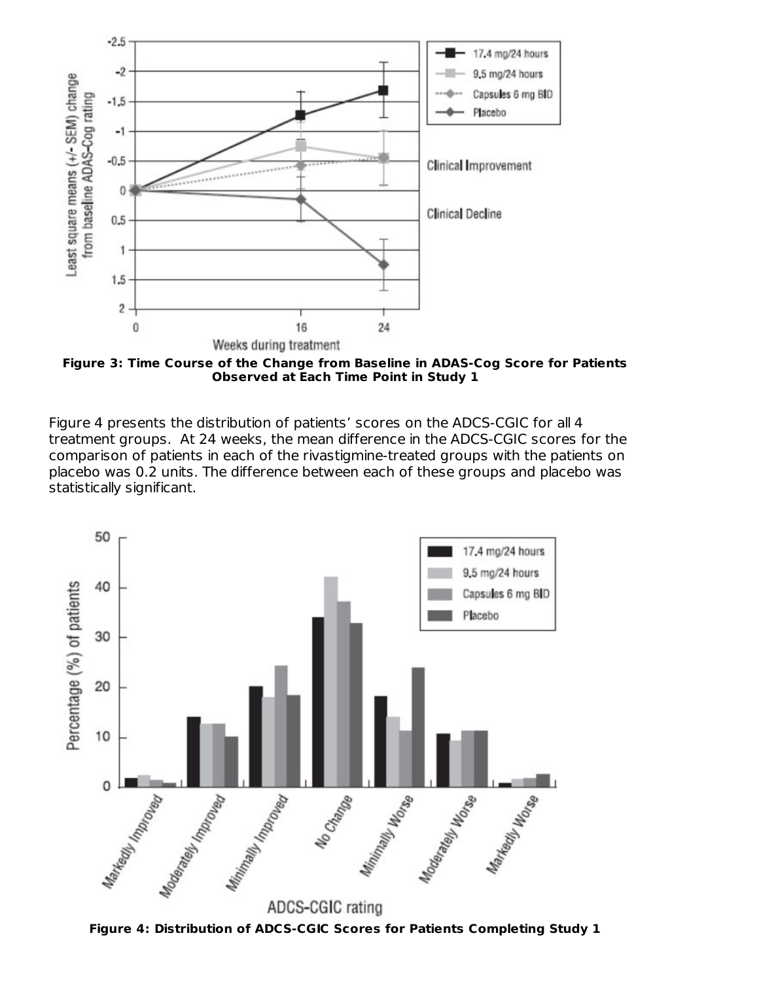

**Figure 3: Time Course of the Change from Baseline in ADAS-Cog Score for Patients Observed at Each Time Point in Study 1**

Figure 4 presents the distribution of patients' scores on the ADCS-CGIC for all 4 treatment groups. At 24 weeks, the mean difference in the ADCS-CGIC scores for the comparison of patients in each of the rivastigmine-treated groups with the patients on placebo was 0.2 units. The difference between each of these groups and placebo was statistically significant.



**Figure 4: Distribution of ADCS-CGIC Scores for Patients Completing Study 1**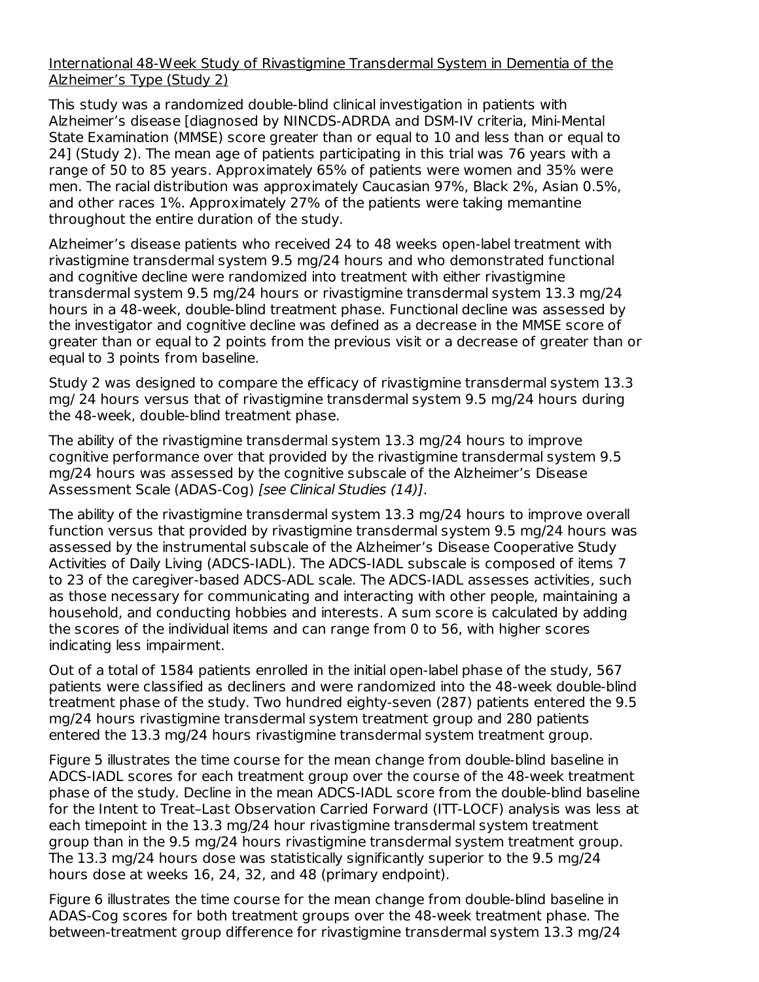#### International 48-Week Study of Rivastigmine Transdermal System in Dementia of the Alzheimer's Type (Study 2)

This study was a randomized double-blind clinical investigation in patients with Alzheimer's disease [diagnosed by NINCDS-ADRDA and DSM-IV criteria, Mini-Mental State Examination (MMSE) score greater than or equal to 10 and less than or equal to 24] (Study 2). The mean age of patients participating in this trial was 76 years with a range of 50 to 85 years. Approximately 65% of patients were women and 35% were men. The racial distribution was approximately Caucasian 97%, Black 2%, Asian 0.5%, and other races 1%. Approximately 27% of the patients were taking memantine throughout the entire duration of the study.

Alzheimer's disease patients who received 24 to 48 weeks open-label treatment with rivastigmine transdermal system 9.5 mg/24 hours and who demonstrated functional and cognitive decline were randomized into treatment with either rivastigmine transdermal system 9.5 mg/24 hours or rivastigmine transdermal system 13.3 mg/24 hours in a 48-week, double-blind treatment phase. Functional decline was assessed by the investigator and cognitive decline was defined as a decrease in the MMSE score of greater than or equal to 2 points from the previous visit or a decrease of greater than or equal to 3 points from baseline.

Study 2 was designed to compare the efficacy of rivastigmine transdermal system 13.3 mg/ 24 hours versus that of rivastigmine transdermal system 9.5 mg/24 hours during the 48-week, double-blind treatment phase.

The ability of the rivastigmine transdermal system 13.3 mg/24 hours to improve cognitive performance over that provided by the rivastigmine transdermal system 9.5 mg/24 hours was assessed by the cognitive subscale of the Alzheimer's Disease Assessment Scale (ADAS-Cog) [see Clinical Studies (14)].

The ability of the rivastigmine transdermal system 13.3 mg/24 hours to improve overall function versus that provided by rivastigmine transdermal system 9.5 mg/24 hours was assessed by the instrumental subscale of the Alzheimer's Disease Cooperative Study Activities of Daily Living (ADCS-IADL). The ADCS-IADL subscale is composed of items 7 to 23 of the caregiver-based ADCS-ADL scale. The ADCS-IADL assesses activities, such as those necessary for communicating and interacting with other people, maintaining a household, and conducting hobbies and interests. A sum score is calculated by adding the scores of the individual items and can range from 0 to 56, with higher scores indicating less impairment.

Out of a total of 1584 patients enrolled in the initial open-label phase of the study, 567 patients were classified as decliners and were randomized into the 48-week double-blind treatment phase of the study. Two hundred eighty-seven (287) patients entered the 9.5 mg/24 hours rivastigmine transdermal system treatment group and 280 patients entered the 13.3 mg/24 hours rivastigmine transdermal system treatment group.

Figure 5 illustrates the time course for the mean change from double-blind baseline in ADCS-IADL scores for each treatment group over the course of the 48-week treatment phase of the study. Decline in the mean ADCS-IADL score from the double-blind baseline for the Intent to Treat–Last Observation Carried Forward (ITT-LOCF) analysis was less at each timepoint in the 13.3 mg/24 hour rivastigmine transdermal system treatment group than in the 9.5 mg/24 hours rivastigmine transdermal system treatment group. The 13.3 mg/24 hours dose was statistically significantly superior to the 9.5 mg/24 hours dose at weeks 16, 24, 32, and 48 (primary endpoint).

Figure 6 illustrates the time course for the mean change from double-blind baseline in ADAS-Cog scores for both treatment groups over the 48-week treatment phase. The between-treatment group difference for rivastigmine transdermal system 13.3 mg/24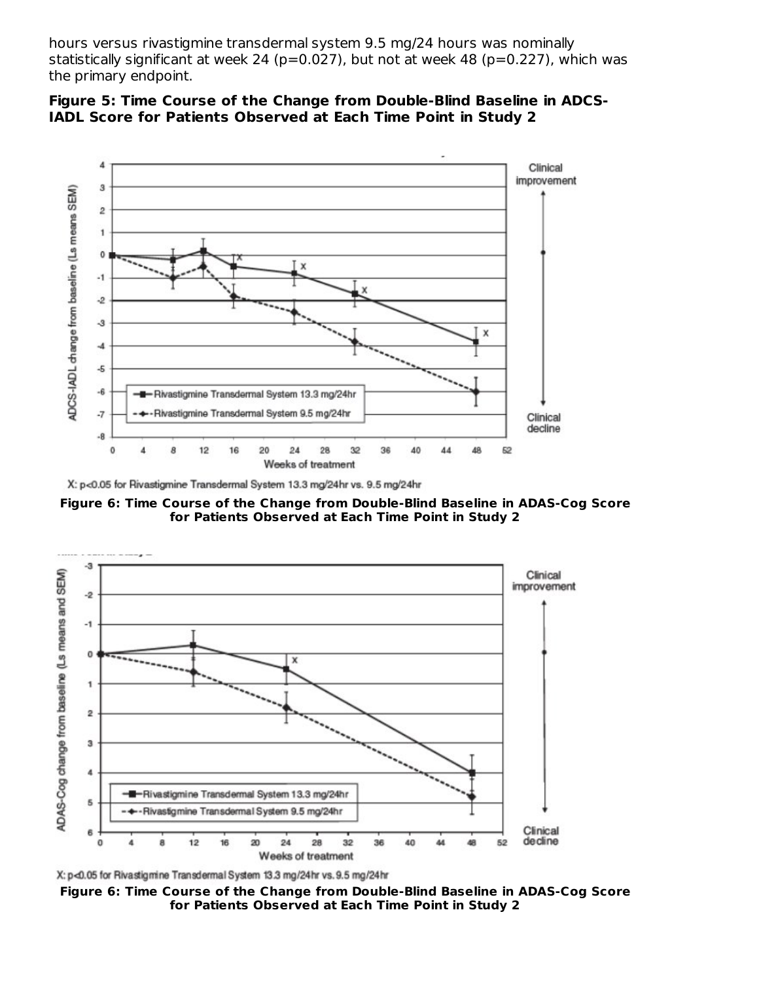hours versus rivastigmine transdermal system 9.5 mg/24 hours was nominally statistically significant at week 24 (p=0.027), but not at week 48 (p=0.227), which was the primary endpoint.





**Figure 6: Time Course of the Change from Double-Blind Baseline in ADAS-Cog Score for Patients Observed at Each Time Point in Study 2**



X: p<0.05 for Rivastigmine Transdermal System 13.3 mg/24hr vs. 9.5 mg/24hr

**Figure 6: Time Course of the Change from Double-Blind Baseline in ADAS-Cog Score for Patients Observed at Each Time Point in Study 2**

X: p<0.05 for Rivastigmine Transdermal System 13.3 mg/24hr vs. 9.5 mg/24hr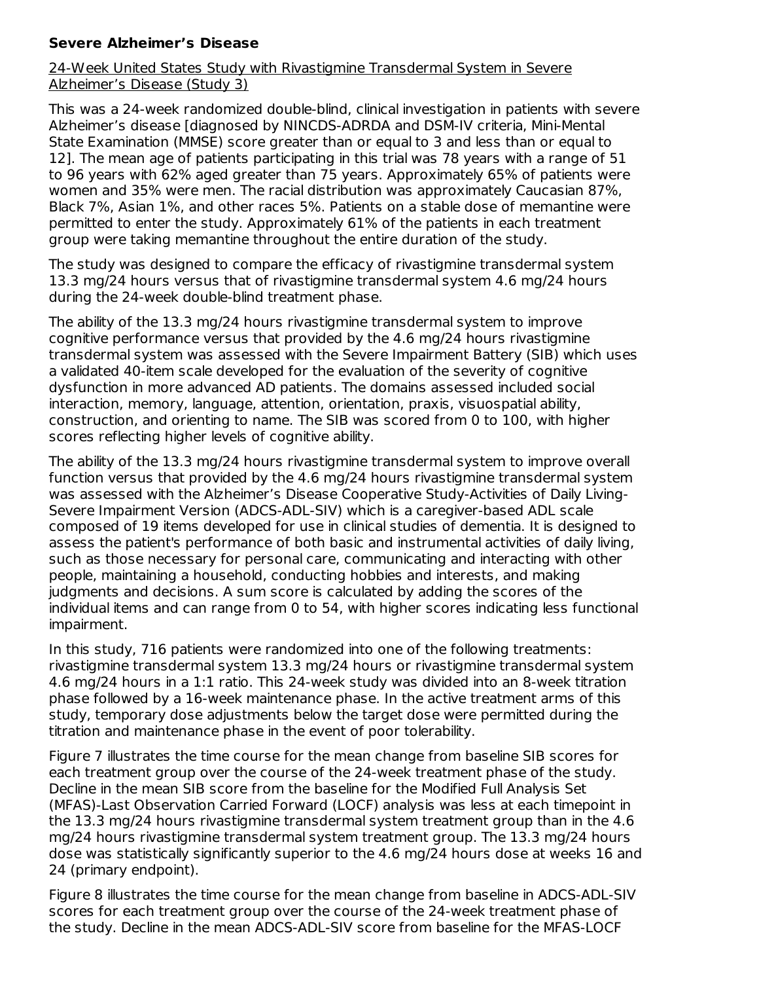## **Severe Alzheimer's Disease**

### 24-Week United States Study with Rivastigmine Transdermal System in Severe Alzheimer's Disease (Study 3)

This was a 24-week randomized double-blind, clinical investigation in patients with severe Alzheimer's disease [diagnosed by NINCDS-ADRDA and DSM-IV criteria, Mini-Mental State Examination (MMSE) score greater than or equal to 3 and less than or equal to 12]. The mean age of patients participating in this trial was 78 years with a range of 51 to 96 years with 62% aged greater than 75 years. Approximately 65% of patients were women and 35% were men. The racial distribution was approximately Caucasian 87%, Black 7%, Asian 1%, and other races 5%. Patients on a stable dose of memantine were permitted to enter the study. Approximately 61% of the patients in each treatment group were taking memantine throughout the entire duration of the study.

The study was designed to compare the efficacy of rivastigmine transdermal system 13.3 mg/24 hours versus that of rivastigmine transdermal system 4.6 mg/24 hours during the 24-week double-blind treatment phase.

The ability of the 13.3 mg/24 hours rivastigmine transdermal system to improve cognitive performance versus that provided by the 4.6 mg/24 hours rivastigmine transdermal system was assessed with the Severe Impairment Battery (SIB) which uses a validated 40-item scale developed for the evaluation of the severity of cognitive dysfunction in more advanced AD patients. The domains assessed included social interaction, memory, language, attention, orientation, praxis, visuospatial ability, construction, and orienting to name. The SIB was scored from 0 to 100, with higher scores reflecting higher levels of cognitive ability.

The ability of the 13.3 mg/24 hours rivastigmine transdermal system to improve overall function versus that provided by the 4.6 mg/24 hours rivastigmine transdermal system was assessed with the Alzheimer's Disease Cooperative Study-Activities of Daily Living-Severe Impairment Version (ADCS-ADL-SIV) which is a caregiver-based ADL scale composed of 19 items developed for use in clinical studies of dementia. It is designed to assess the patient's performance of both basic and instrumental activities of daily living, such as those necessary for personal care, communicating and interacting with other people, maintaining a household, conducting hobbies and interests, and making judgments and decisions. A sum score is calculated by adding the scores of the individual items and can range from 0 to 54, with higher scores indicating less functional impairment.

In this study, 716 patients were randomized into one of the following treatments: rivastigmine transdermal system 13.3 mg/24 hours or rivastigmine transdermal system 4.6 mg/24 hours in a 1:1 ratio. This 24-week study was divided into an 8-week titration phase followed by a 16-week maintenance phase. In the active treatment arms of this study, temporary dose adjustments below the target dose were permitted during the titration and maintenance phase in the event of poor tolerability.

Figure 7 illustrates the time course for the mean change from baseline SIB scores for each treatment group over the course of the 24-week treatment phase of the study. Decline in the mean SIB score from the baseline for the Modified Full Analysis Set (MFAS)-Last Observation Carried Forward (LOCF) analysis was less at each timepoint in the 13.3 mg/24 hours rivastigmine transdermal system treatment group than in the 4.6 mg/24 hours rivastigmine transdermal system treatment group. The 13.3 mg/24 hours dose was statistically significantly superior to the 4.6 mg/24 hours dose at weeks 16 and 24 (primary endpoint).

Figure 8 illustrates the time course for the mean change from baseline in ADCS-ADL-SIV scores for each treatment group over the course of the 24-week treatment phase of the study. Decline in the mean ADCS-ADL-SIV score from baseline for the MFAS-LOCF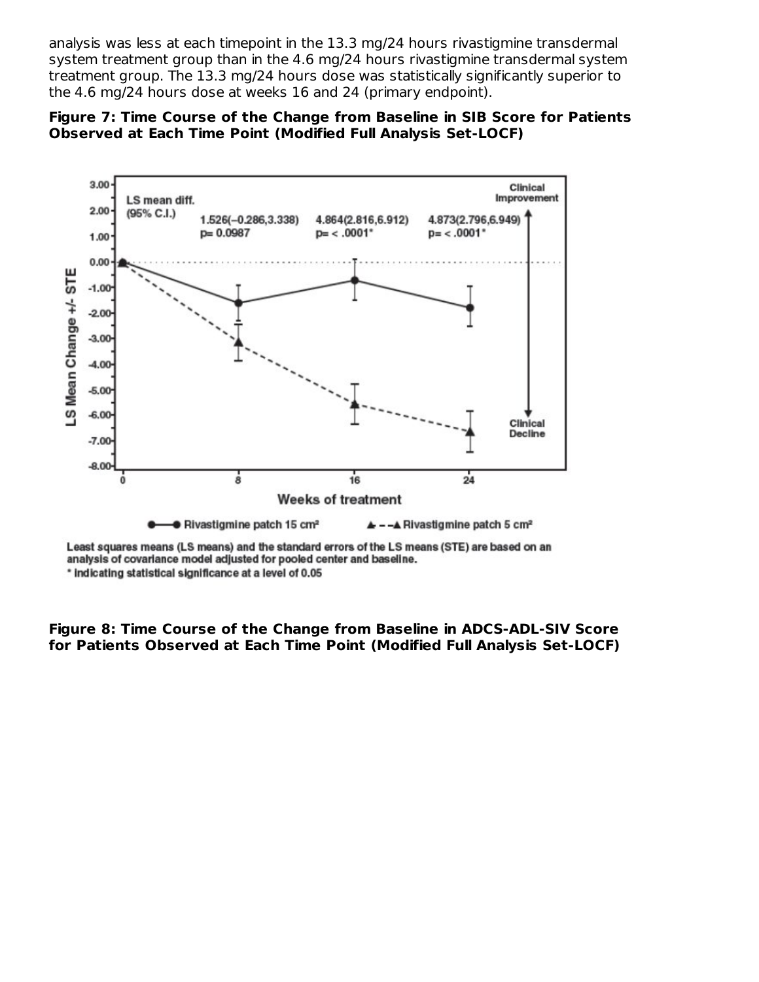analysis was less at each timepoint in the 13.3 mg/24 hours rivastigmine transdermal system treatment group than in the 4.6 mg/24 hours rivastigmine transdermal system treatment group. The 13.3 mg/24 hours dose was statistically significantly superior to the 4.6 mg/24 hours dose at weeks 16 and 24 (primary endpoint).





Least squares means (LS means) and the standard errors of the LS means (STE) are based on an analysis of covariance model adjusted for pooled center and baseline. \* indicating statistical significance at a level of 0.05

**Figure 8: Time Course of the Change from Baseline in ADCS-ADL-SIV Score for Patients Observed at Each Time Point (Modified Full Analysis Set-LOCF)**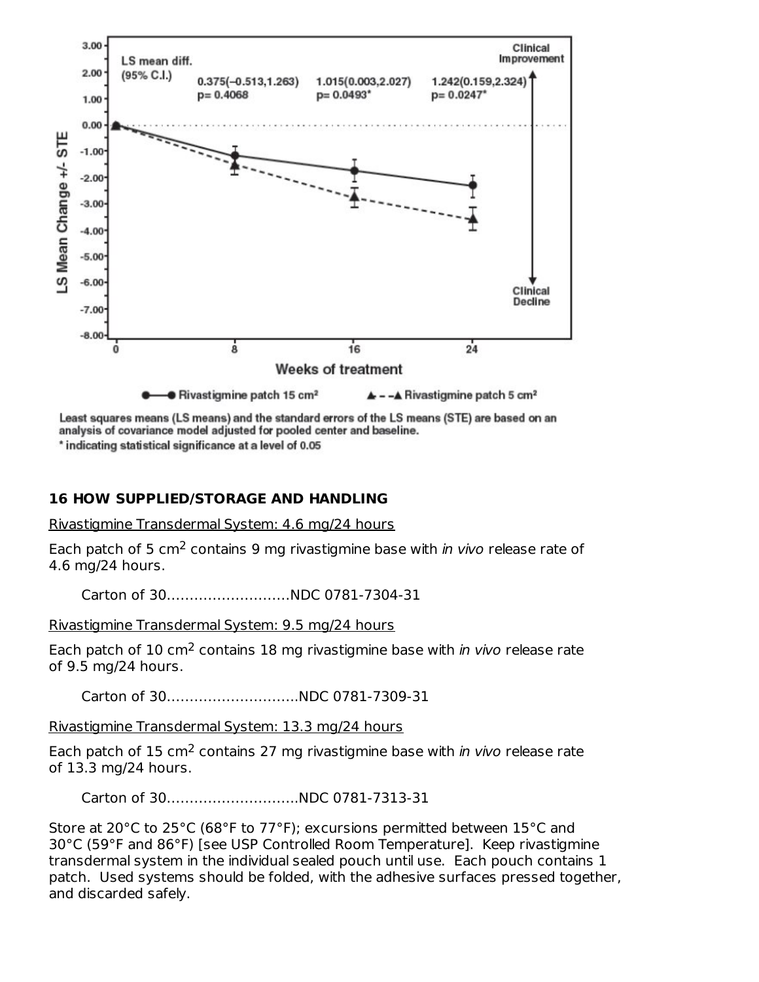

Least squares means (LS means) and the standard errors of the LS means (STE) are based on an analysis of covariance model adjusted for pooled center and baseline.

\* indicating statistical significance at a level of 0.05

### **16 HOW SUPPLIED/STORAGE AND HANDLING**

Rivastigmine Transdermal System: 4.6 mg/24 hours

Each patch of 5 cm<sup>2</sup> contains 9 mg rivastigmine base with in vivo release rate of 4.6 mg/24 hours.

Carton of 30………………………NDC 0781-7304-31

Rivastigmine Transdermal System: 9.5 mg/24 hours

Each patch of 10 cm<sup>2</sup> contains 18 mg rivastigmine base with in vivo release rate of 9.5 mg/24 hours.

Carton of 30………………………..NDC 0781-7309-31

Rivastigmine Transdermal System: 13.3 mg/24 hours

Each patch of 15 cm<sup>2</sup> contains 27 mg rivastigmine base with in vivo release rate of 13.3 mg/24 hours.

Carton of 30………………………..NDC 0781-7313-31

Store at 20°C to 25°C (68°F to 77°F); excursions permitted between 15°C and 30°C (59°F and 86°F) [see USP Controlled Room Temperature]. Keep rivastigmine transdermal system in the individual sealed pouch until use. Each pouch contains 1 patch. Used systems should be folded, with the adhesive surfaces pressed together, and discarded safely.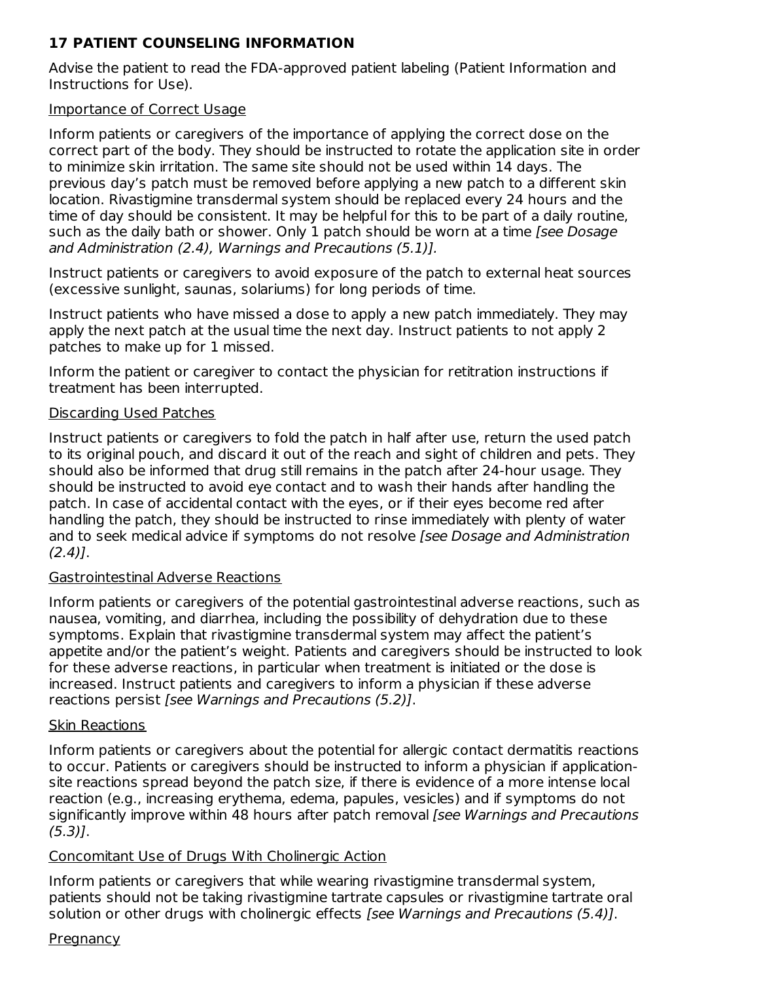## **17 PATIENT COUNSELING INFORMATION**

Advise the patient to read the FDA-approved patient labeling (Patient Information and Instructions for Use).

### Importance of Correct Usage

Inform patients or caregivers of the importance of applying the correct dose on the correct part of the body. They should be instructed to rotate the application site in order to minimize skin irritation. The same site should not be used within 14 days. The previous day's patch must be removed before applying a new patch to a different skin location. Rivastigmine transdermal system should be replaced every 24 hours and the time of day should be consistent. It may be helpful for this to be part of a daily routine, such as the daily bath or shower. Only 1 patch should be worn at a time [see Dosage and Administration (2.4), Warnings and Precautions (5.1)].

Instruct patients or caregivers to avoid exposure of the patch to external heat sources (excessive sunlight, saunas, solariums) for long periods of time.

Instruct patients who have missed a dose to apply a new patch immediately. They may apply the next patch at the usual time the next day. Instruct patients to not apply 2 patches to make up for 1 missed.

Inform the patient or caregiver to contact the physician for retitration instructions if treatment has been interrupted.

### Discarding Used Patches

Instruct patients or caregivers to fold the patch in half after use, return the used patch to its original pouch, and discard it out of the reach and sight of children and pets. They should also be informed that drug still remains in the patch after 24-hour usage. They should be instructed to avoid eye contact and to wash their hands after handling the patch. In case of accidental contact with the eyes, or if their eyes become red after handling the patch, they should be instructed to rinse immediately with plenty of water and to seek medical advice if symptoms do not resolve [see Dosage and Administration  $(2.4)$ ].

### Gastrointestinal Adverse Reactions

Inform patients or caregivers of the potential gastrointestinal adverse reactions, such as nausea, vomiting, and diarrhea, including the possibility of dehydration due to these symptoms. Explain that rivastigmine transdermal system may affect the patient's appetite and/or the patient's weight. Patients and caregivers should be instructed to look for these adverse reactions, in particular when treatment is initiated or the dose is increased. Instruct patients and caregivers to inform a physician if these adverse reactions persist [see Warnings and Precautions (5.2)].

### Skin Reactions

Inform patients or caregivers about the potential for allergic contact dermatitis reactions to occur. Patients or caregivers should be instructed to inform a physician if applicationsite reactions spread beyond the patch size, if there is evidence of a more intense local reaction (e.g., increasing erythema, edema, papules, vesicles) and if symptoms do not significantly improve within 48 hours after patch removal [see Warnings and Precautions  $(5.3)$ ].

## Concomitant Use of Drugs With Cholinergic Action

Inform patients or caregivers that while wearing rivastigmine transdermal system, patients should not be taking rivastigmine tartrate capsules or rivastigmine tartrate oral solution or other drugs with cholinergic effects [see Warnings and Precautions (5.4)].

### **Pregnancy**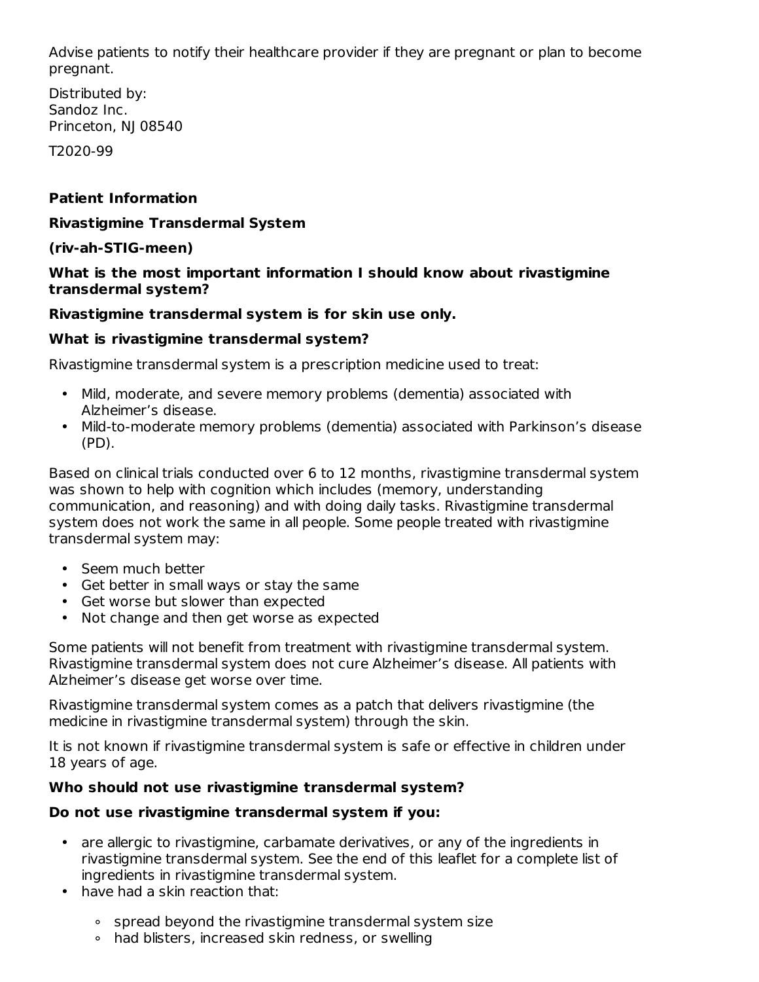Advise patients to notify their healthcare provider if they are pregnant or plan to become pregnant.

Distributed by: Sandoz Inc. Princeton, NJ 08540

T2020-99

### **Patient Information**

### **Rivastigmine Transdermal System**

### **(riv-ah-STIG-meen)**

### **What is the most important information I should know about rivastigmine transdermal system?**

### **Rivastigmine transdermal system is for skin use only.**

### **What is rivastigmine transdermal system?**

Rivastigmine transdermal system is a prescription medicine used to treat:

- Mild, moderate, and severe memory problems (dementia) associated with Alzheimer's disease.
- Mild-to-moderate memory problems (dementia) associated with Parkinson's disease (PD).

Based on clinical trials conducted over 6 to 12 months, rivastigmine transdermal system was shown to help with cognition which includes (memory, understanding communication, and reasoning) and with doing daily tasks. Rivastigmine transdermal system does not work the same in all people. Some people treated with rivastigmine transdermal system may:

- Seem much better
- Get better in small ways or stay the same
- Get worse but slower than expected
- Not change and then get worse as expected

Some patients will not benefit from treatment with rivastigmine transdermal system. Rivastigmine transdermal system does not cure Alzheimer's disease. All patients with Alzheimer's disease get worse over time.

Rivastigmine transdermal system comes as a patch that delivers rivastigmine (the medicine in rivastigmine transdermal system) through the skin.

It is not known if rivastigmine transdermal system is safe or effective in children under 18 years of age.

### **Who should not use rivastigmine transdermal system?**

### **Do not use rivastigmine transdermal system if you:**

- are allergic to rivastigmine, carbamate derivatives, or any of the ingredients in rivastigmine transdermal system. See the end of this leaflet for a complete list of ingredients in rivastigmine transdermal system.
- have had a skin reaction that:
	- ∘ spread beyond the rivastigmine transdermal system size
	- ∘ had blisters, increased skin redness, or swelling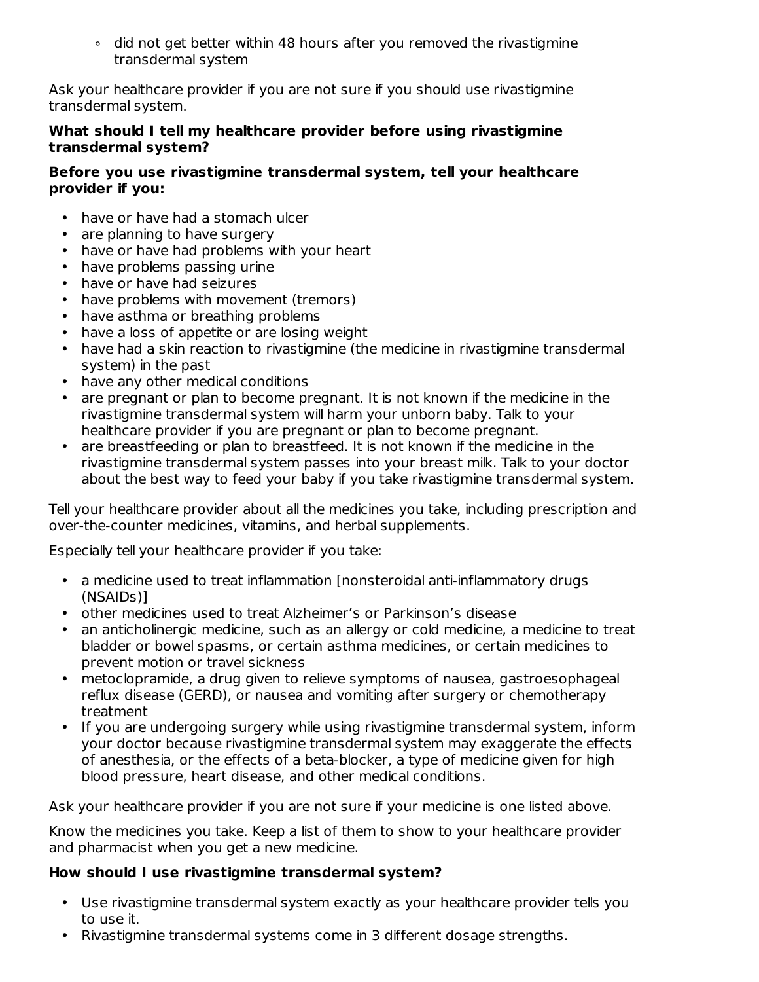∘ did not get better within 48 hours after you removed the rivastigmine transdermal system

Ask your healthcare provider if you are not sure if you should use rivastigmine transdermal system.

### **What should I tell my healthcare provider before using rivastigmine transdermal system?**

### **Before you use rivastigmine transdermal system, tell your healthcare provider if you:**

- have or have had a stomach ulcer
- are planning to have surgery
- have or have had problems with your heart
- have problems passing urine
- have or have had seizures
- have problems with movement (tremors)
- have asthma or breathing problems
- have a loss of appetite or are losing weight
- have had a skin reaction to rivastigmine (the medicine in rivastigmine transdermal system) in the past
- have any other medical conditions
- are pregnant or plan to become pregnant. It is not known if the medicine in the rivastigmine transdermal system will harm your unborn baby. Talk to your healthcare provider if you are pregnant or plan to become pregnant.
- are breastfeeding or plan to breastfeed. It is not known if the medicine in the rivastigmine transdermal system passes into your breast milk. Talk to your doctor about the best way to feed your baby if you take rivastigmine transdermal system.

Tell your healthcare provider about all the medicines you take, including prescription and over-the-counter medicines, vitamins, and herbal supplements.

Especially tell your healthcare provider if you take:

- a medicine used to treat inflammation [nonsteroidal anti-inflammatory drugs (NSAIDs)]
- other medicines used to treat Alzheimer's or Parkinson's disease
- an anticholinergic medicine, such as an allergy or cold medicine, a medicine to treat bladder or bowel spasms, or certain asthma medicines, or certain medicines to prevent motion or travel sickness
- metoclopramide, a drug given to relieve symptoms of nausea, gastroesophageal reflux disease (GERD), or nausea and vomiting after surgery or chemotherapy treatment
- If you are undergoing surgery while using rivastigmine transdermal system, inform your doctor because rivastigmine transdermal system may exaggerate the effects of anesthesia, or the effects of a beta-blocker, a type of medicine given for high blood pressure, heart disease, and other medical conditions.

Ask your healthcare provider if you are not sure if your medicine is one listed above.

Know the medicines you take. Keep a list of them to show to your healthcare provider and pharmacist when you get a new medicine.

## **How should I use rivastigmine transdermal system?**

- Use rivastigmine transdermal system exactly as your healthcare provider tells you to use it.
- Rivastigmine transdermal systems come in 3 different dosage strengths.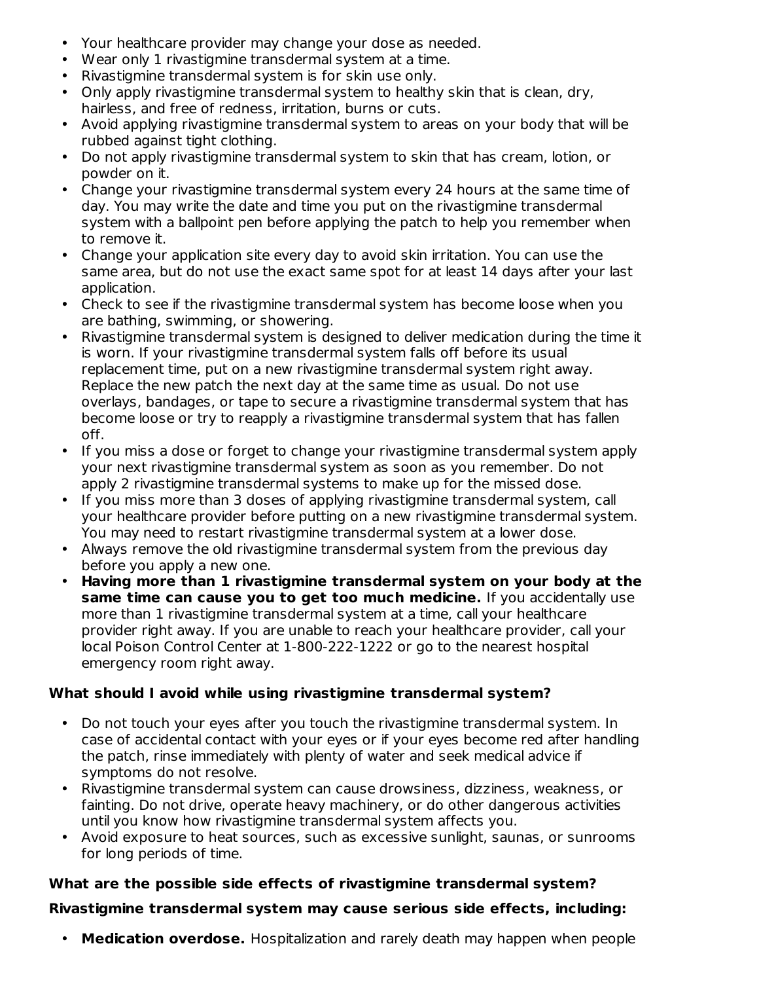- Your healthcare provider may change your dose as needed.
- Wear only 1 rivastigmine transdermal system at a time.
- Rivastigmine transdermal system is for skin use only.
- Only apply rivastigmine transdermal system to healthy skin that is clean, dry, hairless, and free of redness, irritation, burns or cuts.
- Avoid applying rivastigmine transdermal system to areas on your body that will be rubbed against tight clothing.
- Do not apply rivastigmine transdermal system to skin that has cream, lotion, or powder on it.
- Change your rivastigmine transdermal system every 24 hours at the same time of day. You may write the date and time you put on the rivastigmine transdermal system with a ballpoint pen before applying the patch to help you remember when to remove it.
- Change your application site every day to avoid skin irritation. You can use the same area, but do not use the exact same spot for at least 14 days after your last application.
- Check to see if the rivastigmine transdermal system has become loose when you are bathing, swimming, or showering.
- Rivastigmine transdermal system is designed to deliver medication during the time it is worn. If your rivastigmine transdermal system falls off before its usual replacement time, put on a new rivastigmine transdermal system right away. Replace the new patch the next day at the same time as usual. Do not use overlays, bandages, or tape to secure a rivastigmine transdermal system that has become loose or try to reapply a rivastigmine transdermal system that has fallen off.
- If you miss a dose or forget to change your rivastigmine transdermal system apply your next rivastigmine transdermal system as soon as you remember. Do not apply 2 rivastigmine transdermal systems to make up for the missed dose.
- If you miss more than 3 doses of applying rivastigmine transdermal system, call your healthcare provider before putting on a new rivastigmine transdermal system. You may need to restart rivastigmine transdermal system at a lower dose.
- Always remove the old rivastigmine transdermal system from the previous day before you apply a new one.
- **Having more than 1 rivastigmine transdermal system on your body at the same time can cause you to get too much medicine.** If you accidentally use more than 1 rivastigmine transdermal system at a time, call your healthcare provider right away. If you are unable to reach your healthcare provider, call your local Poison Control Center at 1-800-222-1222 or go to the nearest hospital emergency room right away.

## **What should I avoid while using rivastigmine transdermal system?**

- Do not touch your eyes after you touch the rivastigmine transdermal system. In case of accidental contact with your eyes or if your eyes become red after handling the patch, rinse immediately with plenty of water and seek medical advice if symptoms do not resolve.
- Rivastigmine transdermal system can cause drowsiness, dizziness, weakness, or fainting. Do not drive, operate heavy machinery, or do other dangerous activities until you know how rivastigmine transdermal system affects you.
- Avoid exposure to heat sources, such as excessive sunlight, saunas, or sunrooms for long periods of time.

## **What are the possible side effects of rivastigmine transdermal system?**

## **Rivastigmine transdermal system may cause serious side effects, including:**

• **Medication overdose.** Hospitalization and rarely death may happen when people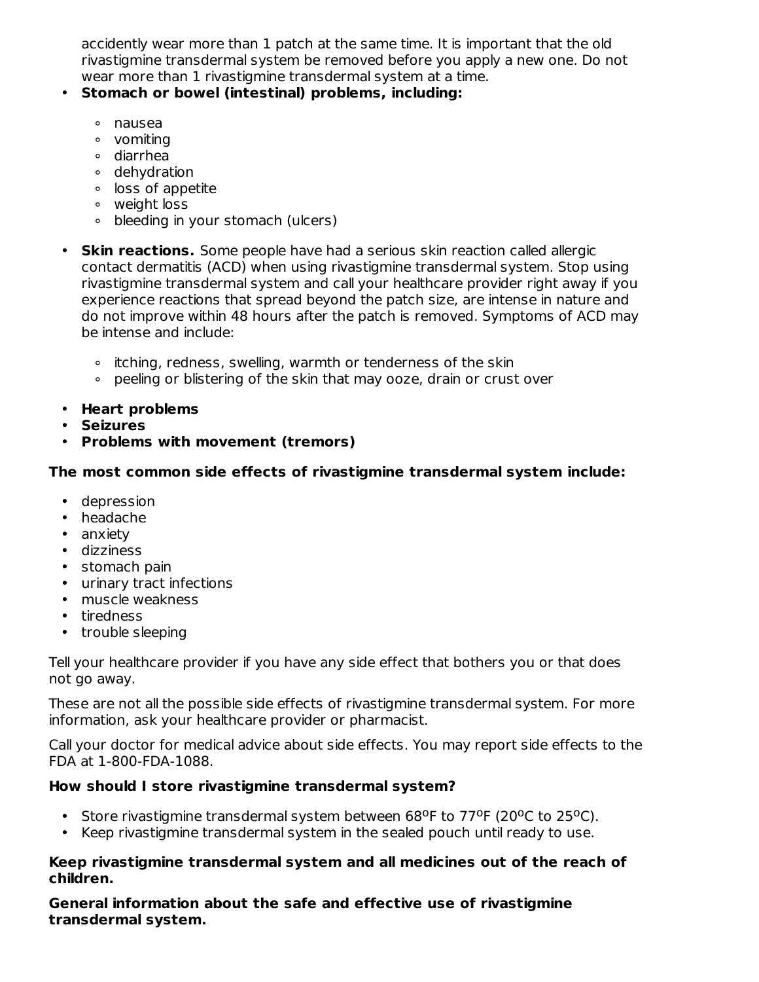accidently wear more than 1 patch at the same time. It is important that the old rivastigmine transdermal system be removed before you apply a new one. Do not wear more than 1 rivastigmine transdermal system at a time.

### • **Stomach or bowel (intestinal) problems, including:**

- ∘ nausea
- ∘ vomiting
- ∘ diarrhea
- ∘ dehydration
- ∘ loss of appetite
- ∘ weight loss
- ∘ bleeding in your stomach (ulcers)
- **Skin reactions.** Some people have had a serious skin reaction called allergic contact dermatitis (ACD) when using rivastigmine transdermal system. Stop using rivastigmine transdermal system and call your healthcare provider right away if you experience reactions that spread beyond the patch size, are intense in nature and do not improve within 48 hours after the patch is removed. Symptoms of ACD may be intense and include:
	- ∘ itching, redness, swelling, warmth or tenderness of the skin
	- ∘ peeling or blistering of the skin that may ooze, drain or crust over
- **Heart problems**
- **Seizures**
- **Problems with movement (tremors)**

### **The most common side effects of rivastigmine transdermal system include:**

- depression
- headache
- anxiety
- dizziness
- stomach pain
- urinary tract infections
- muscle weakness
- tiredness
- trouble sleeping

Tell your healthcare provider if you have any side effect that bothers you or that does not go away.

These are not all the possible side effects of rivastigmine transdermal system. For more information, ask your healthcare provider or pharmacist.

Call your doctor for medical advice about side effects. You may report side effects to the FDA at 1-800-FDA-1088.

## **How should I store rivastigmine transdermal system?**

- Store rivastigmine transdermal system between 68°F to 77°F (20°C to 25°C).
- Keep rivastigmine transdermal system in the sealed pouch until ready to use.

#### **Keep rivastigmine transdermal system and all medicines out of the reach of children.**

**General information about the safe and effective use of rivastigmine transdermal system.**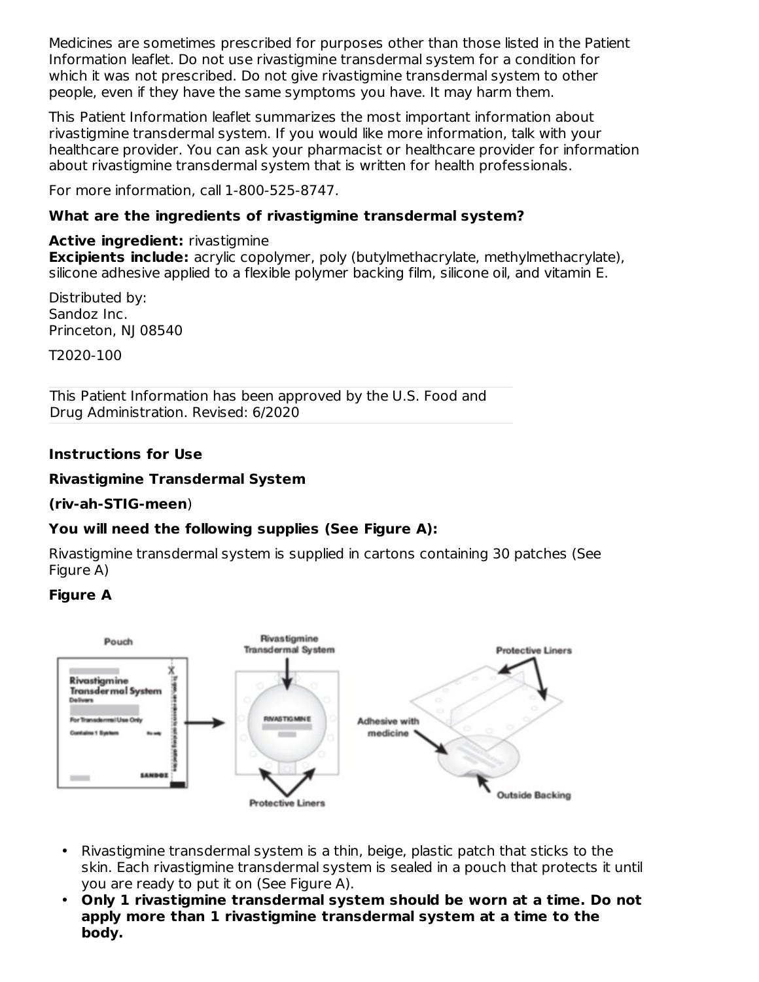Medicines are sometimes prescribed for purposes other than those listed in the Patient Information leaflet. Do not use rivastigmine transdermal system for a condition for which it was not prescribed. Do not give rivastigmine transdermal system to other people, even if they have the same symptoms you have. It may harm them.

This Patient Information leaflet summarizes the most important information about rivastigmine transdermal system. If you would like more information, talk with your healthcare provider. You can ask your pharmacist or healthcare provider for information about rivastigmine transdermal system that is written for health professionals.

For more information, call 1-800-525-8747.

### **What are the ingredients of rivastigmine transdermal system?**

### **Active ingredient:** rivastigmine

**Excipients include:** acrylic copolymer, poly (butylmethacrylate, methylmethacrylate), silicone adhesive applied to a flexible polymer backing film, silicone oil, and vitamin E.

Distributed by: Sandoz Inc. Princeton, NJ 08540

T2020-100

This Patient Information has been approved by the U.S. Food and Drug Administration. Revised: 6/2020

### **Instructions for Use**

### **Rivastigmine Transdermal System**

### **(riv-ah-STIG-meen**)

## **You will need the following supplies (See Figure A):**

Rivastigmine transdermal system is supplied in cartons containing 30 patches (See Figure A)

### **Figure A**



- Rivastigmine transdermal system is a thin, beige, plastic patch that sticks to the skin. Each rivastigmine transdermal system is sealed in a pouch that protects it until you are ready to put it on (See Figure A).
- **Only 1 rivastigmine transdermal system should be worn at a time. Do not apply more than 1 rivastigmine transdermal system at a time to the body.**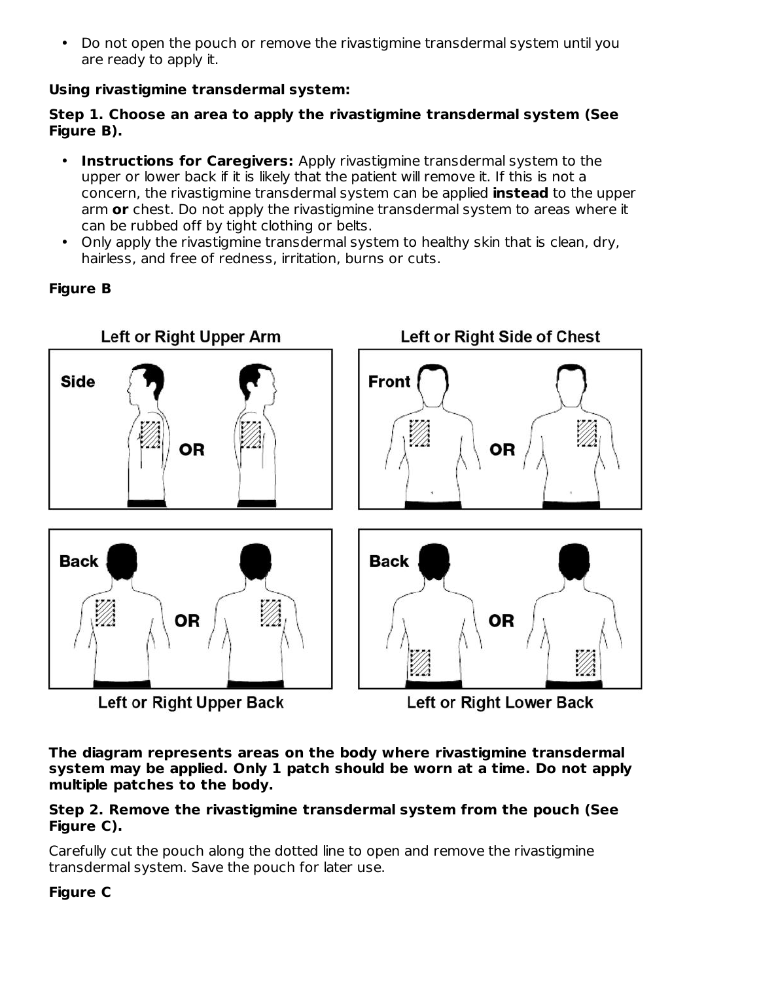• Do not open the pouch or remove the rivastigmine transdermal system until you are ready to apply it.

### **Using rivastigmine transdermal system:**

### **Step 1. Choose an area to apply the rivastigmine transdermal system (See Figure B).**

- **Instructions for Caregivers:** Apply rivastigmine transdermal system to the upper or lower back if it is likely that the patient will remove it. If this is not a concern, the rivastigmine transdermal system can be applied **instead** to the upper arm **or** chest. Do not apply the rivastigmine transdermal system to areas where it can be rubbed off by tight clothing or belts.
- Only apply the rivastigmine transdermal system to healthy skin that is clean, dry, hairless, and free of redness, irritation, burns or cuts.

## **Figure B**



**The diagram represents areas on the body where rivastigmine transdermal system may be applied. Only 1 patch should be worn at a time. Do not apply multiple patches to the body.**

### **Step 2. Remove the rivastigmine transdermal system from the pouch (See Figure C).**

Carefully cut the pouch along the dotted line to open and remove the rivastigmine transdermal system. Save the pouch for later use.

### **Figure C**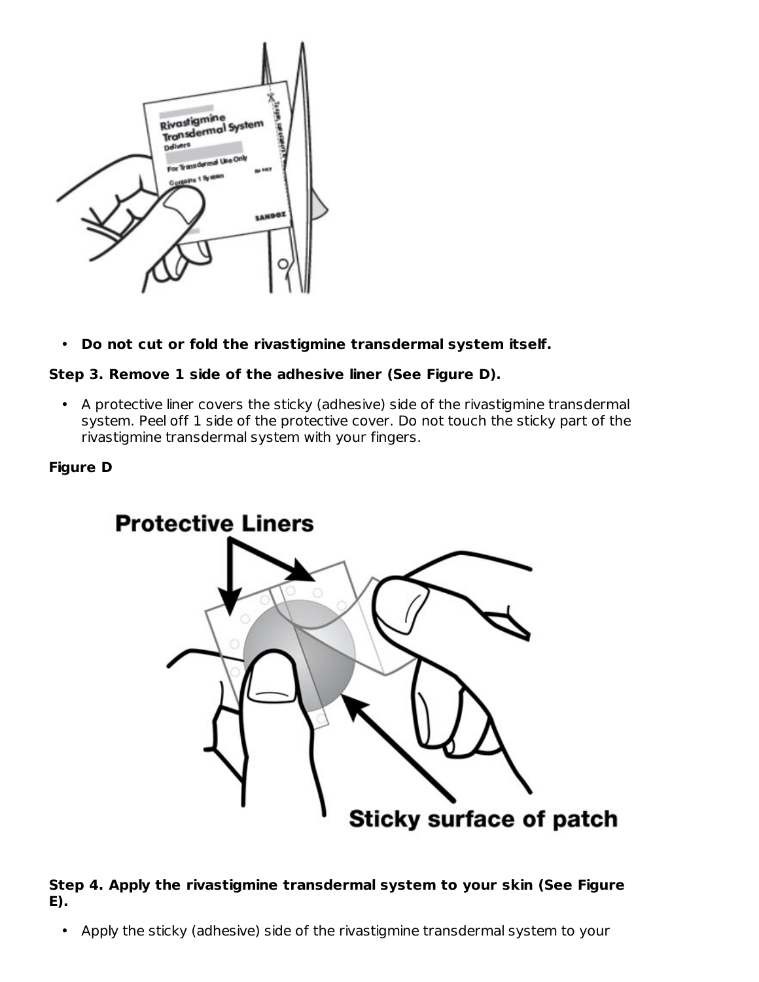

• **Do not cut or fold the rivastigmine transdermal system itself.**

### **Step 3. Remove 1 side of the adhesive liner (See Figure D).**

• A protective liner covers the sticky (adhesive) side of the rivastigmine transdermal system. Peel off 1 side of the protective cover. Do not touch the sticky part of the rivastigmine transdermal system with your fingers.

### **Figure D**



### **Step 4. Apply the rivastigmine transdermal system to your skin (See Figure E).**

• Apply the sticky (adhesive) side of the rivastigmine transdermal system to your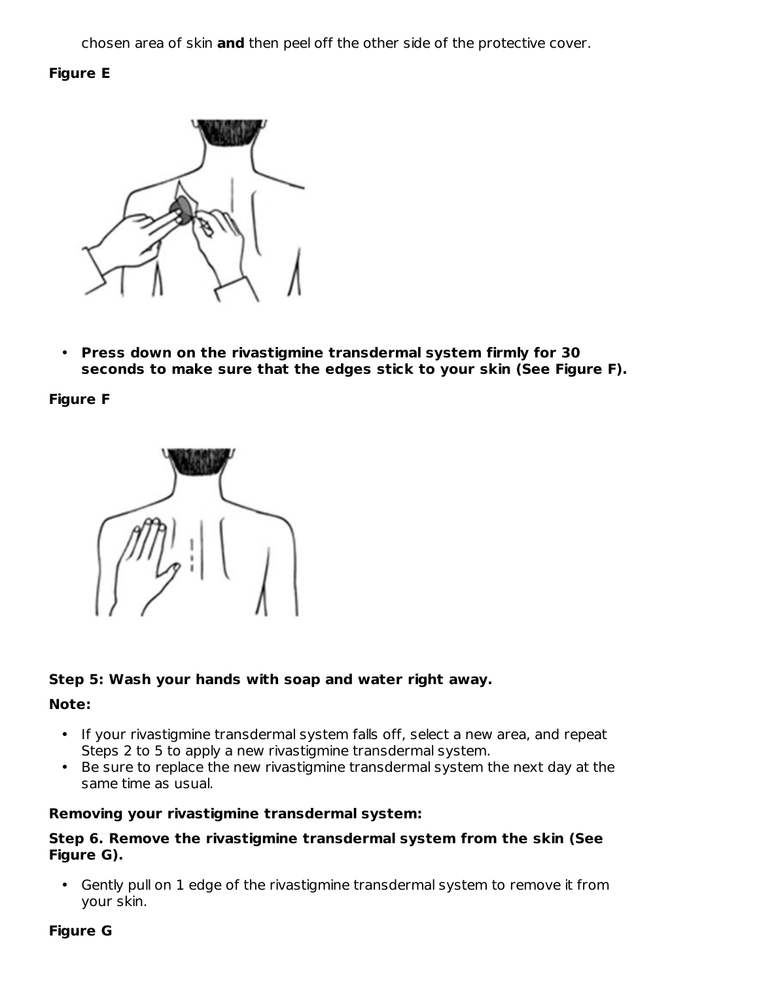chosen area of skin **and** then peel off the other side of the protective cover.

### **Figure E**



• **Press down on the rivastigmine transdermal system firmly for 30 seconds to make sure that the edges stick to your skin (See Figure F).**

**Figure F**



### **Step 5: Wash your hands with soap and water right away.**

#### **Note:**

- If your rivastigmine transdermal system falls off, select a new area, and repeat Steps 2 to 5 to apply a new rivastigmine transdermal system.
- Be sure to replace the new rivastigmine transdermal system the next day at the same time as usual.

### **Removing your rivastigmine transdermal system:**

#### **Step 6. Remove the rivastigmine transdermal system from the skin (See Figure G).**

• Gently pull on 1 edge of the rivastigmine transdermal system to remove it from your skin.

### **Figure G**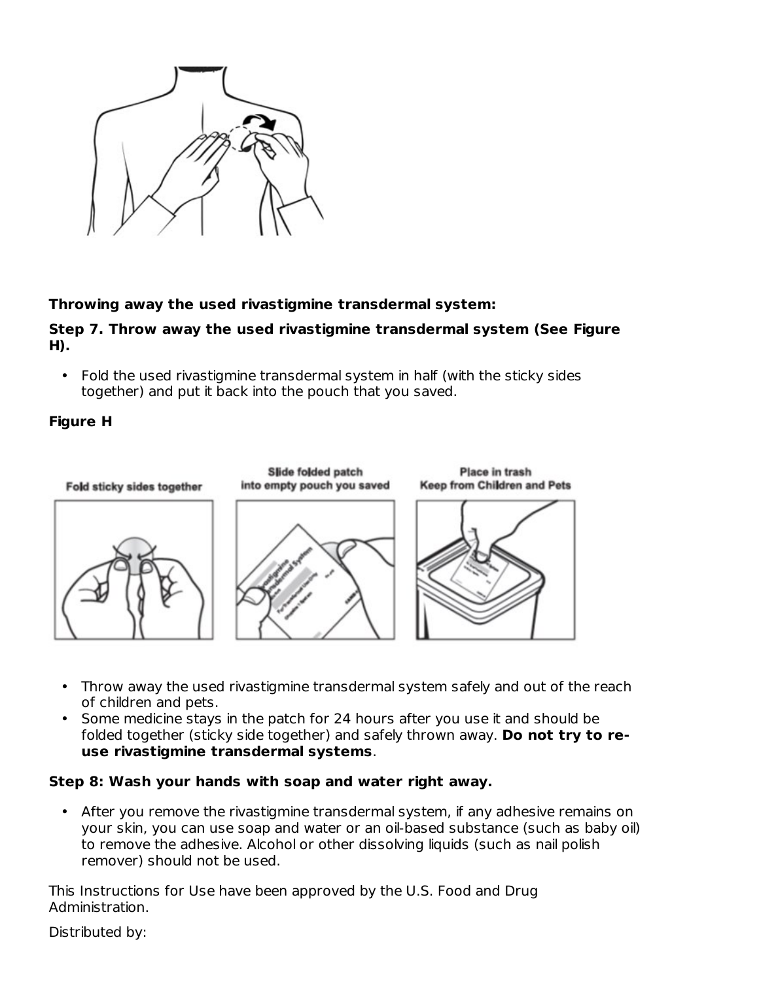

### **Throwing away the used rivastigmine transdermal system:**

### **Step 7. Throw away the used rivastigmine transdermal system (See Figure H).**

• Fold the used rivastigmine transdermal system in half (with the sticky sides together) and put it back into the pouch that you saved.

### **Figure H**



- Throw away the used rivastigmine transdermal system safely and out of the reach of children and pets.
- Some medicine stays in the patch for 24 hours after you use it and should be folded together (sticky side together) and safely thrown away. **Do not try to reuse rivastigmine transdermal systems**.

### **Step 8: Wash your hands with soap and water right away.**

• After you remove the rivastigmine transdermal system, if any adhesive remains on your skin, you can use soap and water or an oil-based substance (such as baby oil) to remove the adhesive. Alcohol or other dissolving liquids (such as nail polish remover) should not be used.

This Instructions for Use have been approved by the U.S. Food and Drug Administration.

Distributed by: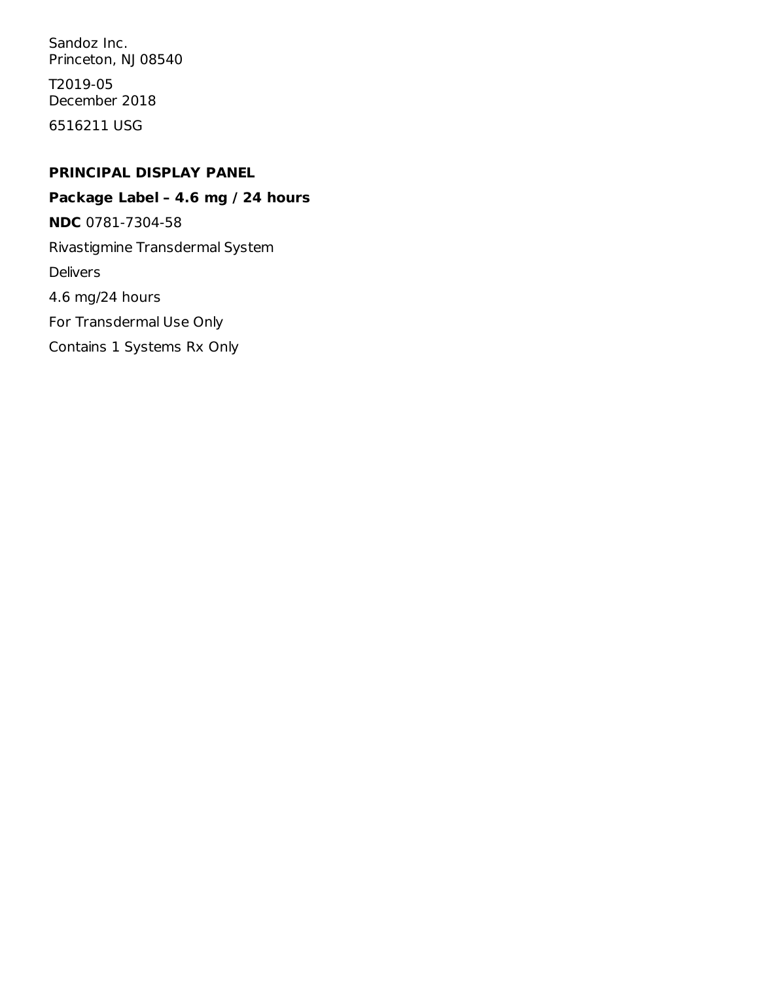Sandoz Inc. Princeton, NJ 08540

T2019-05 December 2018

6516211 USG

### **PRINCIPAL DISPLAY PANEL**

**Package Label – 4.6 mg / 24 hours NDC** 0781-7304-58 Rivastigmine Transdermal System Delivers 4.6 mg/24 hours For Transdermal Use Only Contains 1 Systems Rx Only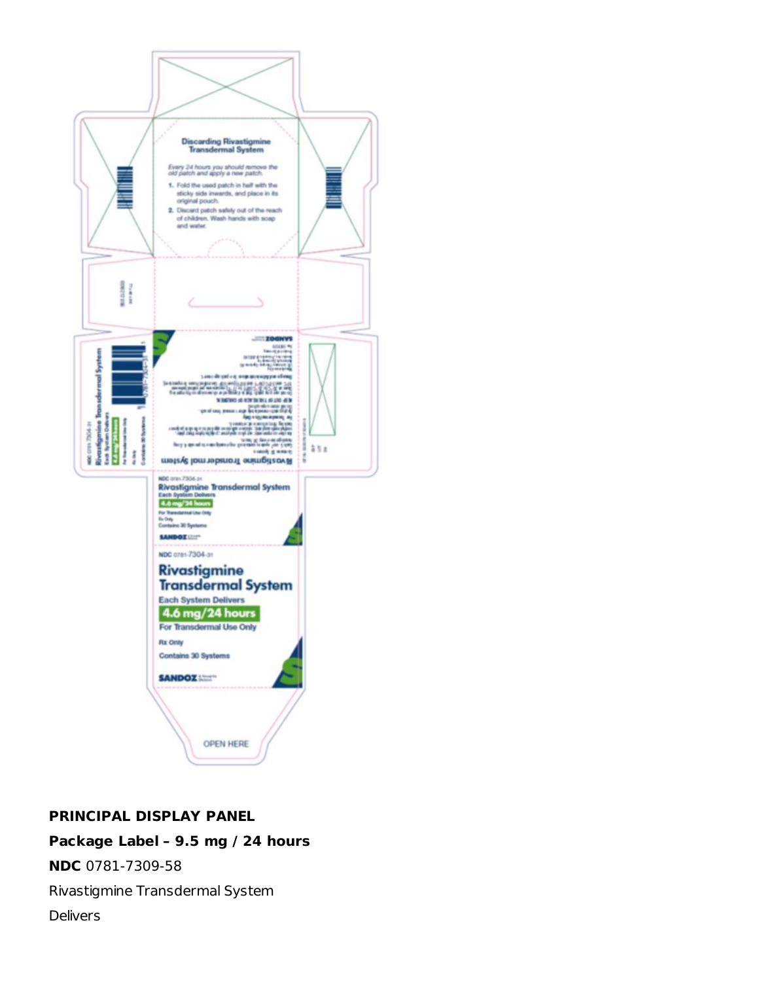

## **PRINCIPAL DISPLAY PANEL**

## **Package Label – 9.5 mg / 24 hours**

**NDC** 0781-7309-58

Rivastigmine Transdermal System

**Delivers**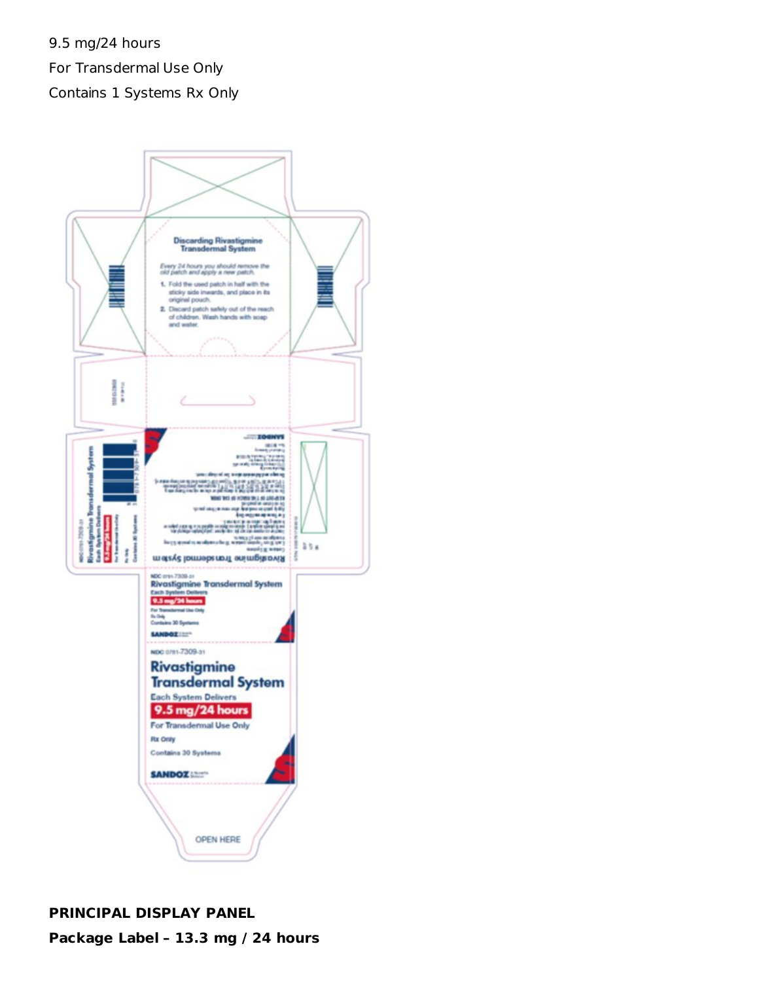9.5 mg/24 hours For Transdermal Use Only Contains 1 Systems Rx Only



# **PRINCIPAL DISPLAY PANEL Package Label – 13.3 mg / 24 hours**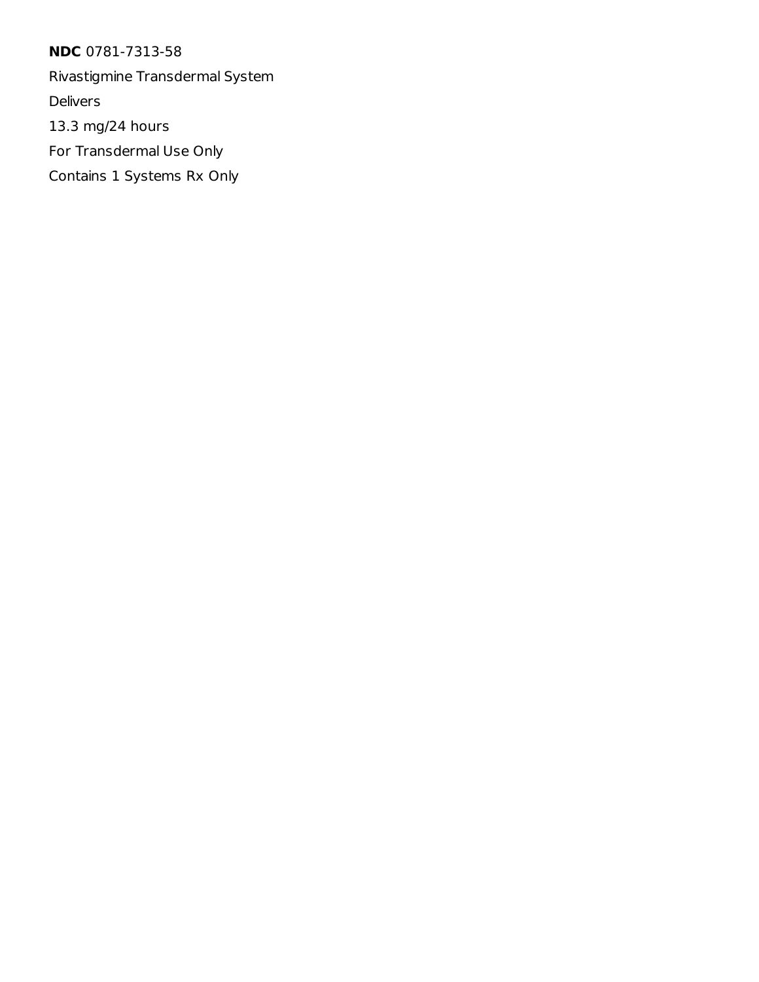**NDC** 0781-7313-58

Rivastigmine Transdermal System

Delivers

13.3 mg/24 hours

For Transdermal Use Only

Contains 1 Systems Rx Only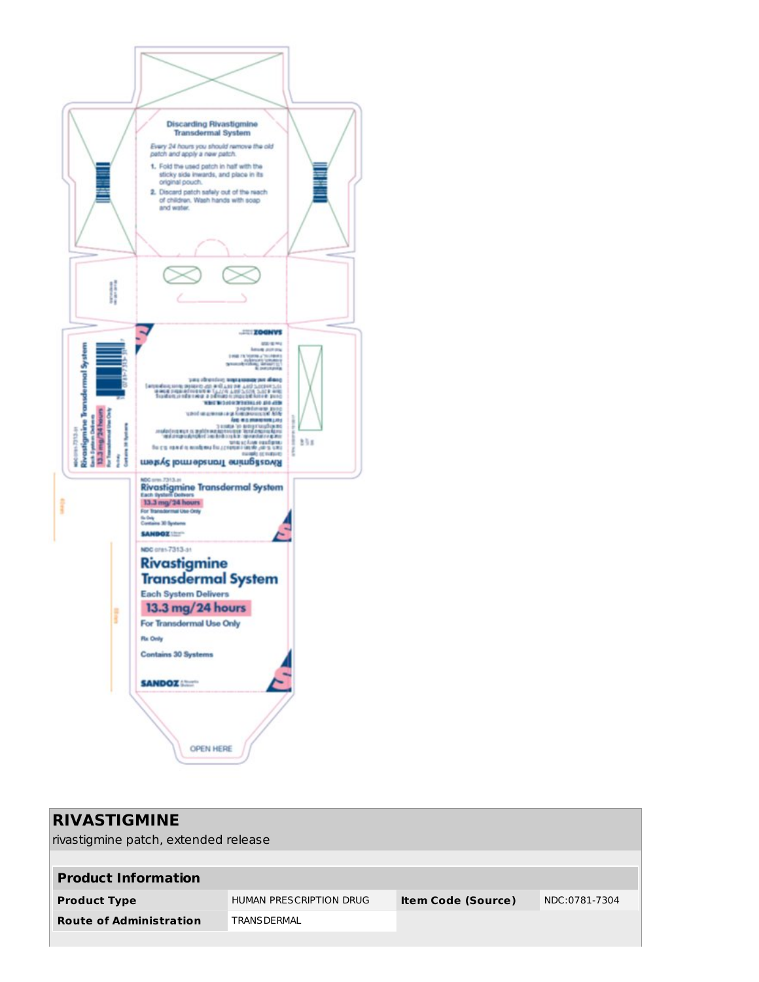

| <b>RIVASTIGMINE</b><br>rivastigmine patch, extended release |                         |                           |               |  |  |
|-------------------------------------------------------------|-------------------------|---------------------------|---------------|--|--|
| <b>Product Information</b>                                  |                         |                           |               |  |  |
| <b>Product Type</b>                                         | HUMAN PRESCRIPTION DRUG | <b>Item Code (Source)</b> | NDC:0781-7304 |  |  |
| <b>Route of Administration</b>                              | <b>TRANS DERMAL</b>     |                           |               |  |  |
|                                                             |                         |                           |               |  |  |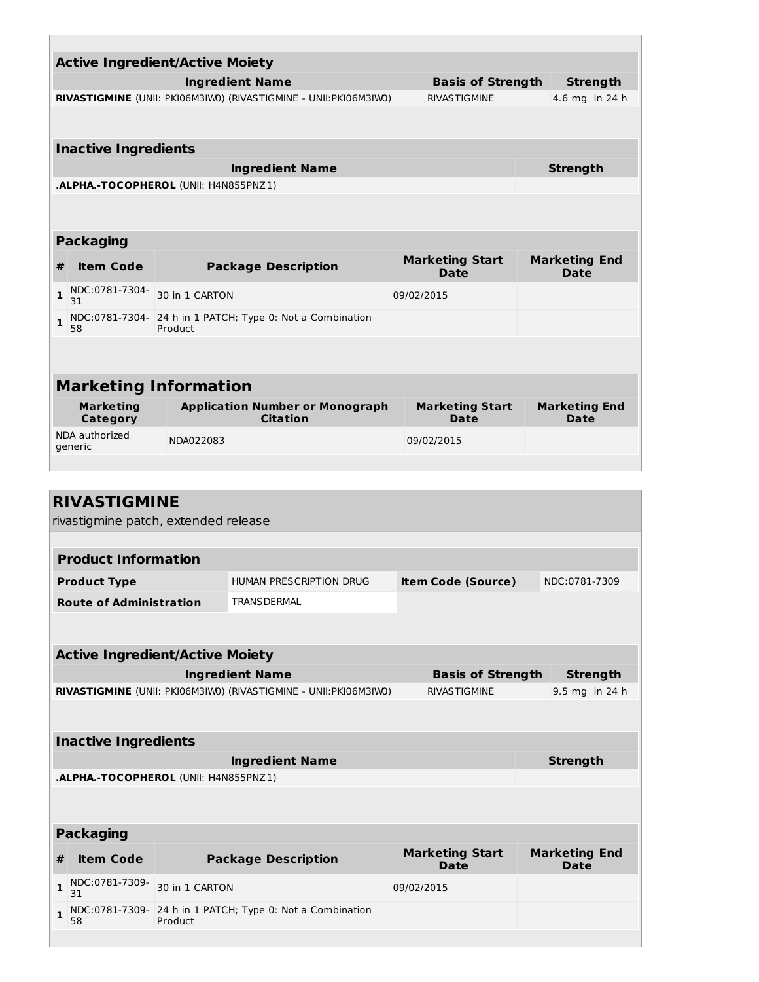|                                    | <b>Active Ingredient/Active Moiety</b>                                                                     |                |                                                                   |            |                                       |  |                                     |
|------------------------------------|------------------------------------------------------------------------------------------------------------|----------------|-------------------------------------------------------------------|------------|---------------------------------------|--|-------------------------------------|
|                                    |                                                                                                            |                | <b>Ingredient Name</b>                                            |            | <b>Basis of Strength</b>              |  | <b>Strength</b>                     |
|                                    | RIVASTIGMINE (UNII: PKI06M3IWO) (RIVASTIGMINE - UNII: PKI06M3IWO)<br><b>RIVASTIGMINE</b><br>4.6 mg in 24 h |                |                                                                   |            |                                       |  |                                     |
|                                    | <b>Inactive Ingredients</b>                                                                                |                |                                                                   |            |                                       |  |                                     |
|                                    |                                                                                                            |                | <b>Ingredient Name</b>                                            |            |                                       |  | <b>Strength</b>                     |
|                                    | .ALPHA.-TOCOPHEROL (UNII: H4N855PNZ1)                                                                      |                |                                                                   |            |                                       |  |                                     |
|                                    |                                                                                                            |                |                                                                   |            |                                       |  |                                     |
|                                    | <b>Packaging</b>                                                                                           |                |                                                                   |            |                                       |  |                                     |
| #                                  | <b>Item Code</b>                                                                                           |                | <b>Package Description</b>                                        |            | <b>Marketing Start</b><br><b>Date</b> |  | <b>Marketing End</b><br><b>Date</b> |
| 1                                  | NDC:0781-7304-<br>31                                                                                       | 30 in 1 CARTON |                                                                   | 09/02/2015 |                                       |  |                                     |
| 1                                  | NDC:0781-7304-<br>58                                                                                       | Product        | 24 h in 1 PATCH; Type 0: Not a Combination                        |            |                                       |  |                                     |
|                                    |                                                                                                            |                |                                                                   |            |                                       |  |                                     |
|                                    | <b>Marketing Information</b>                                                                               |                |                                                                   |            |                                       |  |                                     |
|                                    | <b>Marketing</b>                                                                                           |                | <b>Application Number or Monograph</b>                            |            | <b>Marketing Start</b>                |  | <b>Marketing End</b>                |
|                                    | Category<br>NDA authorized                                                                                 |                | <b>Citation</b>                                                   |            | <b>Date</b>                           |  | Date                                |
| NDA022083<br>09/02/2015<br>generic |                                                                                                            |                |                                                                   |            |                                       |  |                                     |
|                                    |                                                                                                            |                |                                                                   |            |                                       |  |                                     |
|                                    | <b>RIVASTIGMINE</b>                                                                                        |                |                                                                   |            |                                       |  |                                     |
|                                    | rivastigmine patch, extended release                                                                       |                |                                                                   |            |                                       |  |                                     |
|                                    |                                                                                                            |                |                                                                   |            |                                       |  |                                     |
|                                    | <b>Product Information</b>                                                                                 |                |                                                                   |            |                                       |  |                                     |
|                                    | <b>Product Type</b>                                                                                        |                | HUMAN PRESCRIPTION DRUG                                           |            | <b>Item Code (Source)</b>             |  | NDC:0781-7309                       |
|                                    | <b>Route of Administration</b>                                                                             |                | <b>TRANS DERMAL</b>                                               |            |                                       |  |                                     |
|                                    |                                                                                                            |                |                                                                   |            |                                       |  |                                     |
|                                    | <b>Active Ingredient/Active Moiety</b>                                                                     |                |                                                                   |            |                                       |  |                                     |
|                                    |                                                                                                            |                | <b>Ingredient Name</b>                                            |            | <b>Basis of Strength</b>              |  | <b>Strength</b>                     |
|                                    |                                                                                                            |                | RIVASTIGMINE (UNII: PKI06M3IWO) (RIVASTIGMINE - UNII: PKI06M3IWO) |            | <b>RIVASTIGMINE</b>                   |  | 9.5 mg in 24 h                      |
|                                    |                                                                                                            |                |                                                                   |            |                                       |  |                                     |
|                                    | <b>Inactive Ingredients</b>                                                                                |                |                                                                   |            |                                       |  |                                     |
|                                    |                                                                                                            |                | <b>Ingredient Name</b>                                            |            |                                       |  | <b>Strength</b>                     |
|                                    | .ALPHA.-TOCOPHEROL (UNII: H4N855PNZ1)                                                                      |                |                                                                   |            |                                       |  |                                     |
|                                    |                                                                                                            |                |                                                                   |            |                                       |  |                                     |
| <b>Packaging</b>                   |                                                                                                            |                |                                                                   |            |                                       |  |                                     |
| #                                  | <b>Item Code</b>                                                                                           |                | <b>Package Description</b>                                        |            | <b>Marketing Start</b><br>Date        |  | <b>Marketing End</b><br><b>Date</b> |
| 1                                  | NDC:0781-7309-<br>31                                                                                       | 30 in 1 CARTON |                                                                   | 09/02/2015 |                                       |  |                                     |
| 1                                  | NDC:0781-7309-<br>58                                                                                       | Product        | 24 h in 1 PATCH; Type 0: Not a Combination                        |            |                                       |  |                                     |
|                                    |                                                                                                            |                |                                                                   |            |                                       |  |                                     |